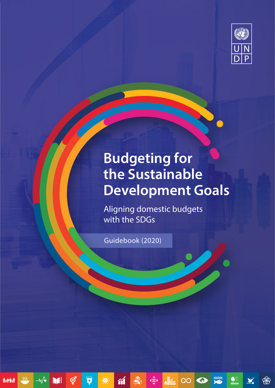

# **Budgeting for the Sustainable Development Goals**

IOO D

 $\bullet$ 

 $\sum_{i=1}^{n}$ 

\$

Aligning domestic budgets with the SDGs

Guidebook (2020)

 $\begin{picture}(45,10) \put(0,0){\vector(0,1){10}} \put(15,0){\vector(0,1){10}} \put(15,0){\vector(0,1){10}} \put(15,0){\vector(0,1){10}} \put(15,0){\vector(0,1){10}} \put(15,0){\vector(0,1){10}} \put(15,0){\vector(0,1){10}} \put(15,0){\vector(0,1){10}} \put(15,0){\vector(0,1){10}} \put(15,0){\vector(0,1){10}} \put(15,0){\vector(0,1){10}} \put(15,0){\vector(0$ 

 $\gamma$ 

j<br>**Azist** 

 $\overline{\mathcal{W}}$ 

 $-\sqrt{\bullet}$ 

Mi

ල්

 $\overline{\textbf{o}}$ 

**EXECUTE**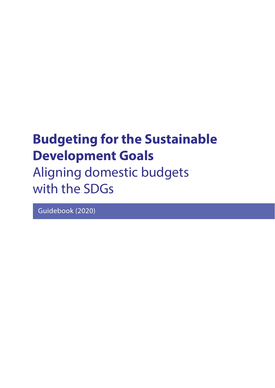# **Budgeting for the Sustainable Development Goals**

Aligning domestic budgets with the SDGs

Guidebook (2020)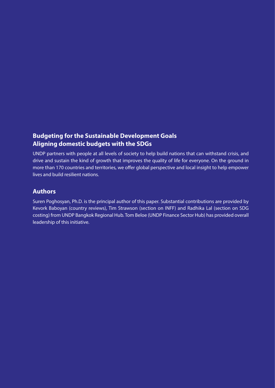# **Budgeting for the Sustainable Development Goals Aligning domestic budgets with the SDGs**

UNDP partners with people at all levels of society to help build nations that can withstand crisis, and drive and sustain the kind of growth that improves the quality of life for everyone. On the ground in more than 170 countries and territories, we offer global perspective and local insight to help empower lives and build resilient nations.

# **Authors**

Suren Poghosyan, Ph.D. is the principal author of this paper. Substantial contributions are provided by Kevork Baboyan (country reviews), Tim Strawson (section on INFF) and Radhika Lal (section on SDG costing) from UNDP Bangkok Regional Hub. Tom Beloe (UNDP Finance Sector Hub) has provided overall leadership of this initiative.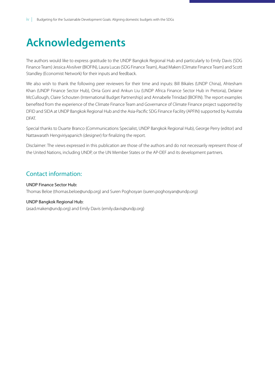# <span id="page-3-0"></span>**Acknowledgements**

The authors would like to express gratitude to the UNDP Bangkok Regional Hub and particularly to Emily Davis (SDG Finance Team) Jessica Alvsilver (BIOFIN), Laura Lucas (SDG Finance Team), Asad Maken (Climate Finance Team) and Scott Standley (Economist Network) for their inputs and feedback.

We also wish to thank the following peer reviewers for their time and inputs: Bill Bikales (UNDP China), Ahtesham Khan (UNDP Finance Sector Hub), Orria Goni and Ankun Liu (UNDP Africa Finance Sector Hub in Pretoria), Delaine McCullough, Claire Schouten (International Budget Partnership) and Annabelle Trinidad (BIOFIN). The report examples benefited from the experience of the Climate Finance Team and Governance of Climate Finance project supported by DFID and SIDA at UNDP Bangkok Regional Hub and the Asia-Pacific SDG Finance Facility (APFIN) supported by Australia DFAT.

Special thanks to Duarte Branco (Communications Specialist, UNDP Bangkok Regional Hub), George Perry (editor) and Nattawarath Hengviriyapanich (designer) for finalizing the report.

Disclaimer: The views expressed in this publication are those of the authors and do not necessarily represent those of the United Nations, including UNDP, or the UN Member States or the AP-DEF and its development partners.

# Contact information:

### UNDP Finance Sector Hub:

Thomas Beloe (thomas.beloe@undp.org) and Suren Poghosyan (suren.poghosyan@undp.org)

### UNDP Bangkok Regional Hub:

(asad.maken@undp.org) and Emily Davis (emily.davis@undp.org)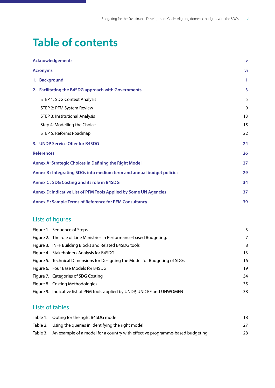# **Table of contents**

| <b>Acknowledgements</b>                                                | iv |
|------------------------------------------------------------------------|----|
| <b>Acronyms</b>                                                        | vi |
| 1. Background                                                          | 1  |
| 2. Facilitating the B4SDG approach with Governments                    | 3  |
| STEP 1: SDG Context Analysis                                           | 5  |
| STEP 2: PFM System Review                                              | 9  |
| <b>STEP 3: Institutional Analysis</b>                                  | 13 |
| Step 4: Modelling the Choice                                           | 15 |
| STEP 5: Reforms Roadmap                                                | 22 |
| 3. UNDP Service Offer for B4SDG                                        | 24 |
| <b>References</b>                                                      | 26 |
| <b>Annex A: Strategic Choices in Defining the Right Model</b>          | 27 |
| Annex B : Integrating SDGs into medium term and annual budget policies | 29 |
| <b>Annex C: SDG Costing and its role in B4SDG</b>                      | 34 |
| Annex D: Indicative List of PFM Tools Applied by Some UN Agencies      | 37 |
| <b>Annex E: Sample Terms of Reference for PFM Consultancy</b>          | 39 |
|                                                                        |    |

# Lists of fgures

| Figure 1. Sequence of Steps                                                  | 3  |
|------------------------------------------------------------------------------|----|
| Figure 2. The role of Line Ministries in Performance-based Budgeting.        | 7  |
| Figure 3. INFF Building Blocks and Related B4SDG tools                       | 8  |
| Figure 4. Stakeholders Analysis for B4SDG                                    | 13 |
| Figure 5. Technical Dimensions for Designing the Model for Budgeting of SDGs | 16 |
| Figure 6. Four Base Models for B4SDG                                         | 19 |
| Figure 7. Categories of SDG Costing                                          | 34 |
| Figure 8. Costing Methodologies                                              | 35 |
| Figure 9. Indicative list of PFM tools applied by UNDP, UNICEF and UNWOMEN   | 38 |
|                                                                              |    |

# Lists of tables

| Table 1. Opting for the right B4SDG model                                             | 18 |
|---------------------------------------------------------------------------------------|----|
| Table 2. Using the queries in identifying the right model                             | 27 |
| Table 3. An example of a model for a country with effective programme-based budgeting | 28 |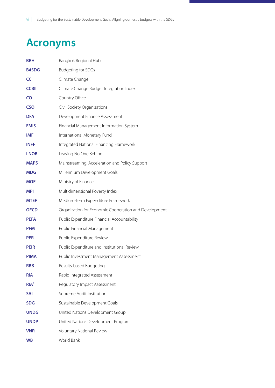# <span id="page-5-0"></span>**Acronyms**

| <b>BRH</b>       | Bangkok Regional Hub                                  |
|------------------|-------------------------------------------------------|
| <b>B4SDG</b>     | <b>Budgeting for SDGs</b>                             |
| <b>CC</b>        | Climate Change                                        |
| <b>CCBII</b>     | Climate Change Budget Integration Index               |
| CO               | Country Office                                        |
| <b>CSO</b>       | Civil Society Organizations                           |
| <b>DFA</b>       | Development Finance Assessment                        |
| <b>FMIS</b>      | Financial Management Information System               |
| <b>IMF</b>       | International Monetary Fund                           |
| <b>INFF</b>      | Integrated National Financing Framework               |
| <b>LNOB</b>      | Leaving No One Behind                                 |
| <b>MAPS</b>      | Mainstreaming, Acceleration and Policy Support        |
| <b>MDG</b>       | Millennium Development Goals                          |
| <b>MOF</b>       | Ministry of Finance                                   |
| <b>MPI</b>       | Multidimensional Poverty Index                        |
| <b>MTEF</b>      | Medium-Term Expenditure Framework                     |
| <b>OECD</b>      | Organization for Economic Cooperation and Development |
| <b>PEFA</b>      | Public Expenditure Financial Accountability           |
| <b>PFM</b>       | Public Financial Management                           |
| <b>PER</b>       | Public Expenditure Review                             |
| <b>PEIR</b>      | Public Expenditure and Institutional Review           |
| <b>PIMA</b>      | Public Investment Management Assessment               |
| <b>RBB</b>       | Results-based Budgeting                               |
| <b>RIA</b>       | Rapid Integrated Assessment                           |
| RIA <sup>2</sup> | Regulatory Impact Assessment                          |
| <b>SAI</b>       | Supreme Audit Institution                             |
| <b>SDG</b>       | Sustainable Development Goals                         |
| <b>UNDG</b>      | United Nations Development Group                      |
| <b>UNDP</b>      | United Nations Development Program                    |
| <b>VNR</b>       | Voluntary National Review                             |
| <b>WB</b>        | World Bank                                            |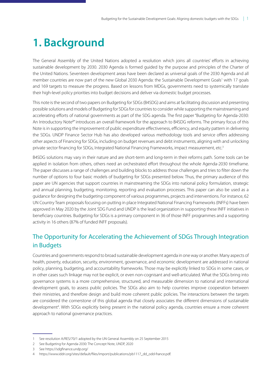# <span id="page-6-0"></span>**1. Background**

The General Assembly of the United Nations adopted a resolution which joins all countries' efforts in achieving sustainable development by 2030. 2030 Agenda is formed guided by the purpose and principles of the Charter of the United Nations. Seventeen development areas have been declared as universal goals of the 2030 Agenda and all member countries are now part of the new Global 2030 Agenda: the Sustainable Development Goals<sup>1</sup> with 17 goals and 169 targets to measure the progress. Based on lessons from MDGs, governments need to systemically translate their high-level policy priorities into budget decisions and deliver via domestic budget processes.

This note is the second of two papers on Budgeting for SDGs (B4SDG) and aims at facilitating discussion and presenting possible solutions and models of Budgeting for SDGs for countries to consider while supporting the mainstreaming and accelerating efforts of national governments as part of the SDG agenda. The first paper "Budgeting for Agenda-2030: An Introductory Note<sup>2</sup>" introduces an overall framework for the approach to B4SDG reforms. The primary focus of this Note is in supporting the improvement of public expenditure effectiveness, efficiency, and equity pattern in delivering the SDGs. UNDP Finance Sector Hub has also developed various methodology tools and service offers addressing other aspects of Financing for SDGs, including on budget revenues and debt instruments, aligning with and unlocking private sector financing for SDGs, Integrated National Financing Frameworks, impact measurement, etc.<sup>3</sup>

B4SDG solutions may vary in their nature and are short-term and long-term in their reforms path. Some tools can be applied in isolation from others, others need an orchestrated effort throughout the whole Agenda-2030 timeframe. The paper discusses a range of challenges and building blocks to address those challenges and tries to filter down the number of options to four basic models of budgeting for SDGs presented below. Thus, the primary audience of this paper are UN agencies that support countries in mainstreaming the SDGs into national policy formulation, strategic and annual planning, budgeting, monitoring, reporting and evaluation processes. This paper can also be used as a guidance for designing the budgeting component of various programmes, projects and interventions. For instance, 62 UN Country Team proposals focusing on putting in place Integrated National Financing Frameworks (INFFs) have been approved in May 2020 by the Joint SDG Fund and UNDP is the lead organization in supporting these INFF initiatives in beneficiary countries. Budgeting for SDGs is a primary component in 36 of those INFF programmes and a supporting activity in 16 others (87% of funded INFF proposals).

# The Opportunity for Accelerating the Achievement of SDGs Through Integration in Budgets

Countries and governments respond to broad sustainable development agenda in one way or another. Many aspects of health, poverty, education, security, environment, governance, and economic development are addressed in national policy, planning, budgeting, and accountability frameworks. Those may be explicitly linked to SDGs in some cases, or in other cases such linkage may not be explicit, or even non-cognisant and well-articulated. What the SDGs bring into governance systems is a more comprehensive, structured, and measurable dimension to national and international development goals, to assess public policies. The SDGs also aim to help countries improve cooperation between their ministries, and therefore design and build more coherent public policies. The interactions between the targets are considered the cornerstone of this global agenda that closely associates the different dimensions of sustainable development<sup>4</sup>. With SDGs explicitly being present in the national policy agenda, countries ensure a more coherent approach to national governance practices.

<sup>1</sup> See resolution A/RES/70/1 adopted by the UN General Assembly on 25 September 2015

<sup>2</sup> See Budgeting for Agenda-2030: The Concept Note, UNDP, 2020

<sup>3</sup> See https://sdgfinance.undp.org/

<sup>4</sup> https://www.iddri.org/sites/default/files/import/publications/pb1117\_dd\_odd-france.pdf.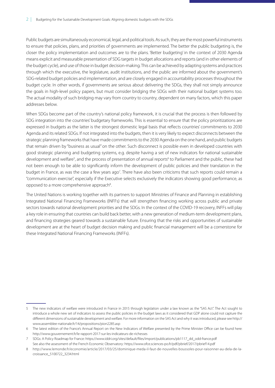Public budgets are simultaneously economical, legal, and political tools. As such, they are the most powerful instruments to ensure that policies, plans, and priorities of governments are implemented. The better the public budgeting is, the closer the policy implementation and outcomes are to the plans. 'Better budgeting' in the context of 2030 Agenda means explicit and measurable presentation of SDG targets in budget allocations and reports (and in other elements of the budget cycle), and use of those in budget decision-making. This can be achieved by adapting systems and practices through which the executive, the legislature, audit institutions, and the public are informed about the government's SDG-related budget policies and implementation, and are closely engaged in accountability processes throughout the budget cycle. In other words, if governments are serious about delivering the SDGs, they shall not simply announce the goals in high-level policy papers, but must consider bridging the SDGs with their national budget systems too. The actual modality of such bridging may vary from country to country, dependent on many factors, which this paper addresses below.

When SDGs become part of the country's national policy framework, it is crucial that the process is then followed by SDG integration into the countries' budgetary frameworks. This is essential to ensure that the policy prioritizations are expressed in budgets as the latter is the strongest domestic legal basis that reflects countries' commitments to 2030 Agenda and its related SDGs. If not integrated into the budgets, then it is very likely to expect disconnects between the strategic planning frameworks that have made commitments to the 2030 Agenda on the one hand, and public budgets that remain driven by "business as usual" on the other. Such disconnect is possible even in developed countries with good strategic planning and budgeting systems, e.g. despite having a set of new indicators for national sustainable development and welfare<sup>5</sup>, and the process of presentation of annual reports<sup>6</sup> to Parliament and the public, these had not been enough to be able to significantly inform the development of public policies and their translation in the budget in France, as was the case a few years ago<sup>7</sup>. There have also been criticisms that such reports could remain a "communication exercise", especially if the Executive selects exclusively the indicators showing good performance, as opposed to a more comprehensive approach<sup>8</sup>. .

The United Nations is working together with its partners to support Ministries of Finance and Planning in establishing Integrated National Financing Frameworks (INFFs) that will strengthen financing working across public and private sectors towards national development priorities and the SDGs. In the context of the COVID-19 recovery, INFFs will play a key role in ensuring that countries can build back better, with a new generation of medium-term development plans, and financing strategies geared towards a sustainable future. Ensuring that the risks and opportunities of sustainable development are at the heart of budget decision making and public financial management will be a cornerstone for these Integrated National Financing Frameworks (INFFs).

<sup>5</sup> The new indicators of welfare were introduced in France in 2015 through legislation under a law known as the "SAS Act". The Act sought to introduce a whole new set of indicators to assess the public policies in the budget laws as it considered that GDP alone could not capture the different dimensions of sustainable development and welfare. For more information on the SAS Act and why it was introduced, please see http:// www.assemblee-nationale.fr/14/propositions/pion2285.asp

<sup>6</sup> The latest edition of the France's Annual Report on the New Indicators of Welfare presented by the Prime Minister Office can be found here: http://www.gouvernement.fr/le-rapport-2017-sur-les-indicateurs-de-richesses

<sup>7</sup> SDGs: A Policy Roadmap for France: https://www.iddri.org/sites/default/files/import/publications/pb1117\_dd\_odd-france.pdf See also the assessment of the French Economic Observatory: https://www.ofce.sciences-po.fr/pdf/pbrief/2017/pbrief14.pdf

<sup>8</sup> http://www.lemonde.fr/economie/article/2017/03/25/dominique-meda-il-faut-de-nouvelles-boussoles-pour-raisonner-au-dela-de-lacroissance\_5100722\_3234.html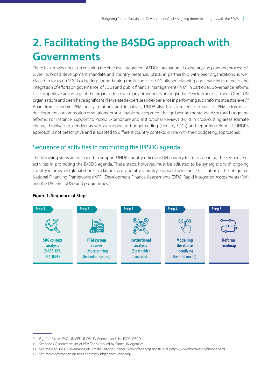# <span id="page-8-0"></span>**2. Facilitating the B4SDG approach with Governments**

There is a growing focus on ensuring the effective integration of SDGs into national budgetary and planning processes<sup>9</sup>. Given its broad development mandate and country presence, UNDP, in partnership with peer organizations, is well placed to focus on SDG budgeting, strengthening the linkages to SDG-aligned planning and financing strategies and integration of efforts on governance, of SDGs and public financial management (PFM) in particular. Governance reforms is a competitive advantage of the organization over many other peers amongst the Development Partners. Other UN organizations and peers have significant PFM related expertise and experience in performing such reforms at sector level.10 Apart from standard PFM policy solutions and initiatives, UNDP also has experience in specific PFM reforms via development and promotion of solutions for sustainable development that go beyond the standard sectoral budgeting reforms. For instance, support to Public Expenditure and Institutional Reviews (PEIR) in cross-cutting areas (climate change, biodiversity, gender), as well as support to budget coding (climate, SDGs) and reporting reforms<sup>11</sup>. UNDP's approach is not prescriptive and is adapted to different country contexts in line with their budgeting approaches.

# Sequence of activities in promoting the B4SDG agenda

The following steps are designed to support UNDP country offices or UN country teams in defining the sequence of activities in promoting the B4SDG agenda. These steps, however, must be adjusted to be synergistic with ongoing country reforms and global efforts in relation to collaborative country support. For instance, facilitation of the Integrated National Financing Frameworks (INFF), Development Finance Assessments (DFA), Rapid Integrated Assessments (RIA) and the UN Joint SDG Fund programmes.<sup>12</sup>



### **Figure 1. Sequence of Steps**

<sup>9</sup> E.g., for UN, see FAO, UNICEF, UNDP, UN Women; and also IDDRI OECD,

<sup>10</sup> SeeAnnex C: Indicative List of PFM Tools Applied by Some UN Agencies.

<sup>11</sup> See more at UNDP Governance of Climate Change Finance (www.cfade.org) and BIOFIN (https://www.biodiversityfinance.net/)

<sup>12</sup> See more information on tools at https://sdgfinance.undp.org/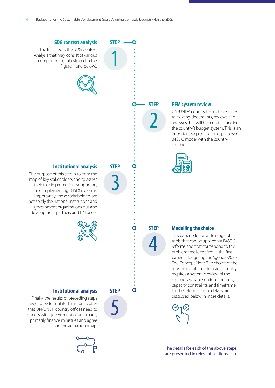

are presented in relevant sections.  $\rightarrow$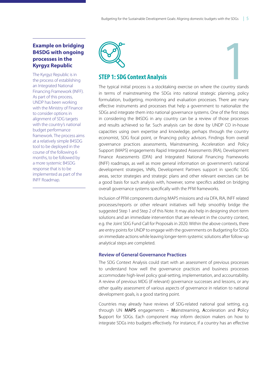### <span id="page-10-0"></span>**Example on bridging B4SDG with ongoing processes in the Kyrgyz Republic**

The Kyrgyz Republic is in the process of establishing an Integrated National Financing Framework (INFF). As part of this process, UNDP has been working with the Ministry of Finance to consider options in alignment of SDG targets with the country's national budget performance framework. The process aims at a relatively simple B4SDG tool to be deployed in the course of the following 6 months, to be followed by a more systemic B4SDG response that is to be implemented as part of the INFF Roadmap.



# **STEP 1: SDG Context Analysis**

The typical initial process is a stocktaking exercise on where the country stands **1999**<br> **1999**<br> **1999**<br> **1999**<br> **1999** in terms of mainstreaming the SDGs into national strategic planning, policy formulation, budgeting, monitoring and evaluation processes. There are many effective instruments and processes that help a government to nationalize the SDGs and integrate them into national governance systems. One of the first steps in considering the B4SDG in any country can be a review of those processes and results achieved so far. Such analysis can be done by UNDP CO in-house capacities using own expertise and knowledge, perhaps through the country economist, SDG focal point, or financing policy advisors. Findings from overall governance practices assessments, Mainstreaming, Acceleration and Policy Support (MAPS) engagements Rapid Integrated Assessments (RIA), Development Finance Assessments (DFA) and Integrated National Financing Frameworks (INFF) roadmaps, as well as more general information on government's national development strategies, VNRs, Development Partners support in specific SDG areas, sector strategies and strategic plans and other relevant exercises can be a good basis for such analysis with, however, some specifics added on bridging overall governance systems specifically with the PFM frameworks.

Inclusion of PFM components during MAPS missions and via DFA, RIA, INFF related processes/reports or other relevant initiatives will help smoothly bridge the suggested Step 1 and Step 2 of this Note. It may also help in designing short-term solutions and an immediate intervention that are relevant in the country context, e.g. the Joint SDG Fund Call for Proposals in 2020. Within the above contexts, there are entry points for UNDP to engage with the governments on Budgeting for SDGs on immediate actions while leaving longer-term systemic solutions after follow-up analytical steps are completed.

### **Review of General Governance Practices**

The SDG Context Analysis could start with an assessment of previous processes to understand how well the governance practices and business processes accommodate high-level policy goal-setting, implementation, and accountability. A review of previous MDG (if relevant) governance successes and lessons, or any other quality assessment of various aspects of governance in relation to national development goals, is a good starting point.

Countries may already have reviews of SDG-related national goal setting, e.g. through UN MAPS engagements – Mainstreaming, Acceleration and Policy Support for SDGs. Each component may inform decision makers on how to integrate SDGs into budgets effectively. For instance, if a country has an effective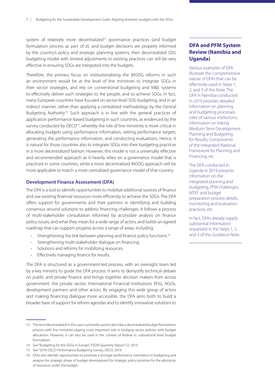system of relatively more decentralized<sup>13</sup> governance practices (and budget formulation process as part of it), and budget decisions are properly informed by the country's policy and strategic planning systems, then decentralized SDG budgeting model with limited adjustments to existing practices can still be very effective in ensuring SDGs are integrated into the budgets.

Therefore, the primary focus on institutionalizing the B4SDG reforms in such an environment would be at the level of line ministries to integrate SDGs in their sector strategies, and rely on conventional budgeting and M&E systems to effectively deliver such strategies to the people, and so achieve SDGs. In fact, many European countries have focused on sector-level SDG budgeting, and in an indirect manner, rather than applying a centralized methodology by the Central Budgeting Authority<sup>14</sup>. Such approach is in line with the general practices of application performance-based budgeting in such countries, as evidenced by the survey conducted by OECD<sup>15</sup>, whereby the role of line ministries is more critical in allocating budgets using performance information, setting performance targets, generating the performance information, and conducting evaluations. Hence, it is natural for those countries also to integrate SDGs into their budgeting practices in a more decentralized fashion. However, this model is not a universally effective and recommended approach as it heavily relies on a governance model that is practiced in some countries, while a more decentralized B4SDG approach will be more applicable to match a more centralized governance model of that country.

#### **Development Finance Assessment (DFA)**

The DFA is a tool to identify opportunities to mobilize additional sources of finance and use existing financial resources more efficiently to achieve the SDGs. The DFA offers support for governments and their partners in identifying and building consensus around solutions to address financing challenges. It follows a process of multi-stakeholder consultation informed by accessible analysis on finance policy issues, and what they mean for a wide range of actors, and builds an agreed roadmap that can support progress across a range of areas, including:

- Strengthening the link between planning and finance policy functions.<sup>16</sup>
- Strengthening multi-stakeholder dialogue on financing.
- Solutions and reforms for mobilizing resources.
- Effectively managing finance for results.

The DFA is structured as a government-led process, with an oversight team led by a key ministry to guide the DFA process. It aims to demystify technical debate on public and private finance and brings together decision makers from across government, the private sector, International Financial Institutions (IFIs), NGOs, development partners and other actors. By engaging this wide group of actors and making financing dialogue more accessible, the DFA aims both to build a broader base of support for reform agendas and to identify innovative solutions to

### **DFA and PFM System Review (Namibia and Uganda)**

Various examples of DFA illustrate the comprehensive nature of DFAs that can be effectively used in Steps 1, 2, and 3 of this Note. The DFA in Namibia conducted in 2019 provides detailed information on planning and budgeting processes, roles of various institutions, information on linking Medium-Term Development Planning and Budgeting for Results, Components of the Integrated National Framework for Planning and Financing, etc.

The DFA conducted in Uganda in 2019 presents information on the integrated planning and budgeting, PFM challenges, MTEF and budget preparation process details, monitoring and evaluation practices, etc.

In fact, DFAs already supply substantial information requested in the Steps 1, 2, and 3 of this Guidance Note.

<sup>13</sup> The term 'decentralized' in this case is primarily used to describe a decentralized budget formulation process with line ministries playing most important role in bridging sector policies with budget allocations. However, it can also be used in the context of federal vs. subnational level budget formulation.

<sup>14</sup> See "Budgeting for the SDGs in Europe", ESDN Quarterly Report 52, 2019

<sup>15</sup> See "2016 OECD Performance Budgeting Survey, OECD, 2016

<sup>16</sup> DFAs also identify opportunities to promote a stronger performance orientation in budgeting and analyse the strategic phase of budget development for strategic policy priorities for the allocation of resources under the budget.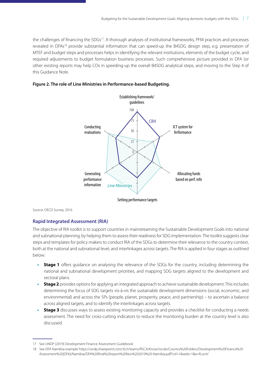<span id="page-12-0"></span>the challenges of financing the SDGs<sup>17</sup>. A thorough analyses of institutional frameworks, PFM practices and processes revealed in DFAs<sup>18</sup> provide substantial information that can speed-up the B4SDG design step, e.g. presentation of MTEF and budget steps and processes helps in identifying the relevant institutions, elements of the budget cycle, and required adjustments to budget formulation business processes. Such comprehensive picture provided in DFA (or other existing reports may help COs in speeding-up the overall B4SDG analytical steps, and moving to the Step 4 of this Guidance Note.



### **Figure 2. The role of Line Ministries in Performance-based Budgeting.**

Source: OECD Survey, 2016

### **Rapid Integrated Assessment (RIA)**

The objective of RIA toolkit is to support countries in mainstreaming the Sustainable Development Goals into national and subnational planning, by helping them to assess their readiness for SDG implementation. The toolkit suggests clear steps and templates for policy makers to conduct RIA of the SDGs to determine their relevance to the country context, both at the national and subnational level, and interlinkages across targets. The RIA is applied in four stages as outlined below:

- **Stage 1** offers guidance on analysing the relevance of the SDGs for the country, including determining the national and subnational development priorities, and mapping SDG targets aligned to the development and sectoral plans.
- **• Stage 2** provides options for applying an integrated approach to achieve sustainable development. This includes determining the focus of SDG targets vis-à-vis the sustainable development dimensions (social, economic, and environmental) and across the 5Ps (people, planet, prosperity, peace, and partnership) – to ascertain a balance across aligned targets, and to identify the interlinkages across targets.
- **•• Stage 3** discusses ways to assess existing monitoring capacity and provides a checklist for conducting a needs assessment. The need for cross-cutting indicators to reduce the monitoring burden at the country level is also discussed.

<sup>17</sup> See UNDP (2019) Development Finance Assessment Guidebook

<sup>18</sup> See DFA Namibia example https://undp.sharepoint.com/:b:/r/teams/RSCA/Know/sscde/Country%20Folders/Development%20Finance%20 Assessment%20(DFA)/Namibia/DFA%20final%20report%20Nov%202019%20-Namibia.pdf?csf=1&web=1&e=fLurnV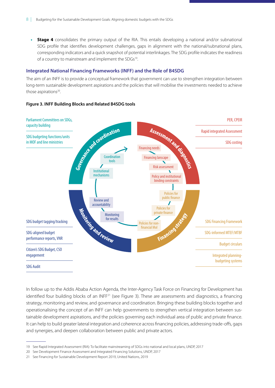<span id="page-13-0"></span>**•• Stage 4** consolidates the primary output of the RIA. This entails developing a national and/or subnational SDG profile that identifies development challenges, gaps in alignment with the national/subnational plans, corresponding indicators and a quick snapshot of potential interlinkages. The SDG profile indicates the readiness of a country to mainstream and implement the SDGs<sup>19</sup>.

### **Integrated National Financing Frameworks (INFF) and the Role of B4SDG**

The aim of an INFF is to provide a conceptual framework that government can use to strengthen integration between long-term sustainable development aspirations and the policies that will mobilise the investments needed to achieve those aspirations<sup>20</sup>.

### **Figure 3. INFF Building Blocks and Related B4SDG tools**



In follow up to the Addis Ababa Action Agenda, the Inter-Agency Task Force on Financing for Development has identified four building blocks of an INFF<sup>21</sup> (see Figure 3). These are assessments and diagnostics, a financing strategy, monitoring and review, and governance and coordination. Bringing these building blocks together and operationalising the concept of an INFF can help governments to strengthen vertical integration between sustainable development aspirations, and the policies governing each individual area of public and private finance. It can help to build greater lateral integration and coherence across financing policies, addressing trade-offs, gaps and synergies, and deepen collaboration between public and private actors.

<sup>19</sup> See Rapid Integrated Assessment (RIA): To facilitate mainstreaming of SDGs into national and local plans, UNDP, 2017

<sup>20</sup> See Development Finance Assessment and Integrated Financing Solutions, UNDP, 2017

<sup>21</sup> See Financing for Sustainable Development Report 2019, United Nations, 2019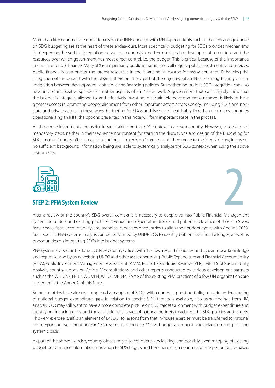<span id="page-14-0"></span>More than fifty countries are operationalising the INFF concept with UN support. Tools such as the DFA and guidance on SDG budgeting are at the heart of these endeavours. More specifically, budgeting for SDGs provides mechanisms for deepening the vertical integration between a country's long-term sustainable development aspirations and the resources over which government has most direct control, i.e. the budget. This is critical because of the importance and scale of public finance. Many SDGs are primarily public in nature and will require public investments and services; public finance is also one of the largest resources in the financing landscape for many countries. Enhancing the integration of the budget with the SDGs is therefore a key part of the objective of an INFF to strengthening vertical integration between development aspirations and financing policies. Strengthening budget-SDG integration can also have important positive spill-overs to other aspects of an INFF as well. A government that can tangibly show that the budget is integrally aligned to, and effectively investing in sustainable development outcomes, is likely to have greater success in promoting deeper alignment from other important actors across society, including SOEs and nonstate and private actors. In these ways, budgeting for SDGs and INFFs are inextricably linked and for many countries operationalising an INFF, the options presented in this note will form important steps in the process.

All the above instruments are useful in stocktaking on the SDG context in a given country. However, those are not mandatory steps, neither in their sequence nor content for starting the discussions and design of the Budgeting for SDGs model. Country offices may also opt for a simpler Step 1 process and then move to the Step 2 below, in case of no sufficient background information being available to systemically analyse the SDG context when using the above instruments.





After a review of the country's SDG overall context it is necessary to deep-dive into Public Financial Management systems to understand existing practices, revenue and expenditure trends and patterns, relevance of those to SDGs, fiscal space, fiscal accountability, and technical capacities of countries to align their budget cycles with Agenda-2030. Such specific PFM systems analysis can be performed by UNDP COs to identify bottlenecks and challenges, as well as opportunities on integrating SDGs into budget systems.

PFM system review can be done by UNDP Country Offices with their own expert resources, and by using local knowledge and expertise, and by using existing UNDP and other assessments, e.g. Public Expenditure and Financial Accountability (PEFA), Public Investment Management Assessment (PIMA), Public Expenditure Reviews (PER), IMF's Debt Sustainability Analysis, country reports on Article IV consultations, and other reports conducted by various development partners such as the WB, UNICEF, UNWOMEN, WHO, IMF, etc. Some of the existing PFM practices of a few UN organizations are presented in the Annex C of this Note.

Some countries have already completed a mapping of SDGs with country support portfolio, so basic understanding of national budget expenditure gaps in relation to specific SDG targets is available, also using findings from RIA analysis. COs may still want to have a more complete picture on SDG targets alignment with budget expenditure and identifying financing gaps, and the available fiscal space of national budgets to address the SDG policies and targets. This very exercise itself is an element of B4SDG, so lessons from that in-house exercise must be transferred to national counterparts (government and/or CSO), so monitoring of SDGs vs budget alignment takes place on a regular and systemic basis.

As part of the above exercise, country offices may also conduct a stocktaking, and possibly, even mapping of existing budget performance information in relation to SDG targets and beneficiaries (in countries where performance-based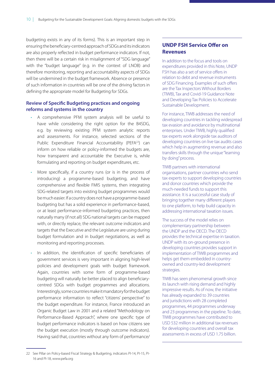budgeting exists in any of its forms). This is an important step in ensuring the beneficiary-centred approach of SDGs and its indicators are also properly reflected in budget performance indicators. If not, then there will be a certain risk in misalignment of "SDG language" with the "budget language" (e.g. in the context of LNOB) and therefore monitoring, reporting and accountability aspects of SDGs will be undermined in the budget framework. Absence or presence of such information in countries will be one of the driving factors in defining the appropriate model for Budgeting for SDGs.

### **Review of Specifc Budgeting practices and ongoing reforms and systems in the country**

- A comprehensive PFM system analysis will be useful to have while considering the right option for the B4SDG, e.g. by reviewing existing PFM system analytic reports and assessments. For instance, selected sections of the Public Expenditure Financial Accountability (PEFA<sup>22</sup>) can inform on how reliable or policy-informed the budgets are, how transparent and accountable the Executive is, while formulating and reporting on budget expenditures, etc.
- More specifically, if a country runs (or is in the process of introducing) a programme-based budgeting, and have comprehensive and flexible FMIS systems, then integrating SDG-related targets into existing budget programmes would be much easier. If a country does not have a programme-based budgeting but has a solid experience in performance-based, or at least performance-informed budgeting practices, then naturally many (if not all) SDG national targets can be mapped with, or directly replace, the relevant outcome indicators and targets that the Executive and the Legislature are using during budget formulation and in budget negotiations, as well as monitoring and reporting processes.
- In addition, the identification of specific beneficiaries of government services is very important in aligning high-level policies and development goals with budget framework. Again, countries with some form of programme-based budgeting will naturally be better placed to align beneficiarycentred SDGs with budget programmes and allocations. Interestingly, some countries make it mandatory for the budget performance information to reflect "citizens' perspective" to the budget expenditure. For instance, France introduced an Organic Budget Law in 2001 and a related "Methodology on Performance-Based Approach", where one specific type of budget performance indicators is based on how citizens see the budget execution (mostly through outcome indicators). Having said that, countries without any form of performance/

### **UNDP FSH Service Ofer on Revenues**

In addition to the focus and tools on expenditures provided in this Note, UNDP FSH has also a set of service offers in relation to debt and revenue instruments of SDG Financing. Examples of such offers are the Tax Inspectors Without Borders (TIWB), Tax and Covid-19 Guidance Note and Developing Tax Policies to Accelerate Sustainable Development.

For instance, TIWB addresses the need of developing countries in tackling widespread tax evasion and avoidance by multinational enterprises. Under TIWB, highly qualified tax experts work alongside tax auditors of developing countries on live tax audits cases which help in augmenting revenue and also transfers skills through the unique "learning by doing" process.

TIWB partners with international organisations, partner countries who send tax experts to support developing countries and donor countries which provide the much-needed funds to support this assistance. It is a successful case study of bringing together many different players to one platform, to help build capacity in addressing international taxation issues.

The success of the model relies on complementary partnership between the UNDP and the OECD. The OECD provides the technical expertise in taxation. UNDP with its on-ground presence in developing countries provides support in implementation of TIWB programmes and helps get them embedded in countryowned and country-led development strategies.

TIWB has seen phenomenal growth since its launch with rising demand and highly impressive results. As of now, the initiative has already expanded to 39 countries and jurisdictions with 28 completed programmes, 44 programmes underway and 23 programmes in the pipeline. To date, TIWB programmes have contributed to USD 532 million in additional tax revenues for developing countries and overall tax assessments in excess of USD 1.75 billion.

<sup>22</sup> See Pillar on Policy-based Fiscal Strategy & Budgeting, indicators PI-14, PI-15, PI-16 and PI-18, www.pefa.org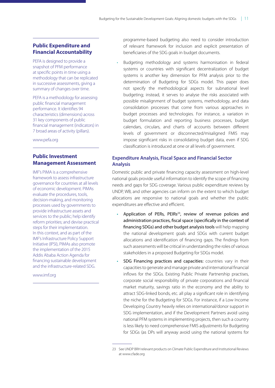### **Public Expenditure and Financial Accountability**

PEFA is designed to provide a snapshot of PFM performance at specific points in time using a methodology that can be replicated in successive assessments, giving a summary of changes over time.

PEFA is a methodology for assessing public financial management performance. It identifies 94 characteristics (dimensions) across 31 key components of public financial management (indicators) in 7 broad areas of activity (pillars).

www.pefa.org

### **Public Investment Management Assessment**

IMF's PIMA is a comprehensive framework to assess infrastructure governance for countries at all levels of economic development. PIMAs evaluate the procedures, tools, decision-making, and monitoring processes used by governments to provide infrastructure assets and services to the public; help identify reform priorities; and devise practical steps for their implementation. In this context, and as part of the IMF's Infrastructure Policy Support Initiative (IPSI), PIMAs also promote the implementation of the 2015 Addis Ababa Action Agenda for financing sustainable development and the infrastructure-related SDG.

www.imf.org

programme-based budgeting also need to consider introduction of relevant framework for inclusion and explicit presentation of beneficiaries of the SDG goals in budget documents.

• Budgeting methodology and systems harmonisation in federal systems or countries with significant decentralization of budget systems is another key dimension for PFM analysis prior to the determination of Budgeting for SDGs model. This paper does not specify the methodological aspects for subnational level budgeting; instead, it serves to analyse the risks associated with possible misalignment of budget systems, methodology, and data consolidation processes that come from various approaches in budget processes and technologies. For instance, a variation in budget formulation and reporting business processes, budget calendars, circulars, and charts of accounts between different levels of government or disconnected/misaligned FMIS may impose significant risks in consolidating budget data, even if SDG classification is introduced at one or all levels of government.

### **Expenditure Analysis, Fiscal Space and Financial Sector Analysis**

Domestic public and private financing capacity assessment on high-level national goals provide useful information to identify the scope of financing needs and gaps for SDG coverage. Various public expenditure reviews by UNDP, WB, and other agencies can inform on the extent to which budget allocations are responsive to national goals and whether the public expenditures are effective and efficient.

- Application of PERs, PEIRs<sup>23</sup>, review of revenue policies and administration practices, fscal space (specifcally in the context of fnancing SDGs) and other budget analysis tools will help mapping the national development goals and SDGs with current budget allocations and identification of financing gaps. The findings from such assessments will be critical in understanding the roles of various stakeholders in a proposed Budgeting for SDGs model.
- SDG Financing practices and capacities: countries vary in their capacities to generate and manage private and international financial inflows for the SDGs. Existing Public Private Partnership practises, corporate social responsibility of private corporations and financial market maturity, savings ratio in the economy and the ability to attract SDG-linked bonds, etc. all play a significant role in identifying the niche for the Budgeting for SDGs. For instance, if a Low Income Developing Country heavily relies on international/donor support in SDG implementation, and if the Development Partners avoid using national PFM systems in implementing projects, then such a country is less likely to need comprehensive FMIS adjustments for Budgeting for SDGs (as DPs will anyway avoid using the national systems for

<sup>23</sup> See UNDP BRH relevant products on Climate Public Expenditure and Institutional Reviews at www.cfade.org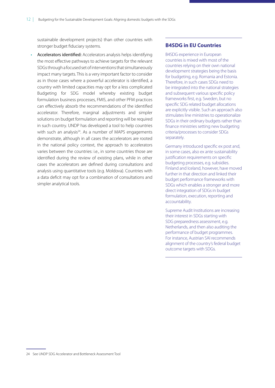sustainable development projects) than other countries with stronger budget fiduciary systems.

• Accelerators identifed: Accelerators analysis helps identifying the most effective pathways to achieve targets for the relevant SDGs through a focused set of interventions that simultaneously impact many targets. This is a very important factor to consider as in those cases where a powerful accelerator is identified, a country with limited capacities may opt for a less complicated Budgeting for SDG model whereby existing budget formulation business processes, FMIS, and other PFM practices can effectively absorb the recommendations of the identified accelerator. Therefore, marginal adjustments and simpler solutions on budget formulation and reporting will be required in such country. UNDP has developed a tool to help countries with such an analysis<sup>24</sup>. As a number of MAPS engagements demonstrate, although in all cases the accelerators are rooted in the national policy context, the approach to accelerators varies between the countries: i.e., in some countries those are identified during the review of existing plans, while in other cases the accelerators are defined during consultations and analysis using quantitative tools (e.g. Moldova). Countries with a data deficit may opt for a combination of consultations and simpler analytical tools.

### **B4SDG in EU Countries**

B4SDG experience in European countries is mixed with most of the countries relying on their own national development strategies being the basis for budgeting, e.g. Romania and Estonia. Therefore, in such cases SDGs need to be integrated into the national strategies and subsequent various specific policy frameworks first, e.g. Sweden, but no specific SDG related budget allocations are explicitly visible. Such an approach also stimulates line ministries to operationalize SDGs in their ordinary budgets rather than finance ministries setting new budgeting criteria/processes to consider SDGs separately.

Germany introduced specific ex post and, in some cases, also ex ante sustainability justification requirements on specific budgeting processes, e.g. subsidies. Finland and Iceland, however, have moved further in that direction and linked their budget performance frameworks with SDGs which enables a stronger and more direct integration of SDGs in budget formulation, execution, reporting and accountability.

Supreme Audit Institutions are increasing their interest in SDGs starting with SDG preparedness assessment, e.g. Netherlands, and then also auditing the performance of budget programmes. For instance, Austrian SAI recommends alignment of the country's federal budget outcome targets with SDGs.

<sup>24</sup> See UNDP SDG Accelerator and Bottleneck Assessment Tool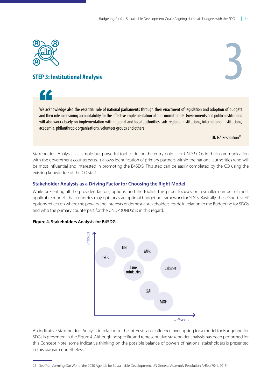<span id="page-18-0"></span>





We acknowledge also the essential role of national parliaments through their enactment of legislation and adoption of budgets and their role in ensuring accountability for the efective implementation of our commitments. Governments and public institutions will also work closely on implementation with regional and local authorities, sub-regional institutions, international institutions, academia, philanthropic organizations, volunteer groups and others

UN GA Resolution25.

Stakeholders Analysis is a simple but powerful tool to define the entry points for UNDP COs in their communication with the government counterparts. It allows identification of primary partners within the national authorities who will be most influential and interested in promoting the B4SDG. This step can be easily completed by the CO using the existing knowledge of the CO staff.

### **Stakeholder Analysis as a Driving Factor for Choosing the Right Model**

While presenting all the provided factors, options, and the toolkit, this paper focuses on a smaller number of most applicable models that countries may opt for as an optimal budgeting framework for SDGs. Basically, these 'shortlisted' options reflect on where the powers and interests of domestic stakeholders reside in relation to the Budgeting for SDGs and who the primary counterpart for the UNDP (UNDS) is in this regard.

### **Figure 4. Stakeholders Analysis for B4SDG**



An indicative Stakeholders Analysis in relation to the interests and influence over opting for a model for Budgeting for SDGs is presented in the Figure 4. Although no specific and representative stakeholder analysis has been performed for this Concept Note, some indicative thinking on the possible balance of powers of national stakeholders is presented in this diagram nonetheless.

<sup>25</sup> See Transforming Our World: the 2030 Agenda for Sustainable Development, UN General Assembly Resolution A/Res/70/1, 2015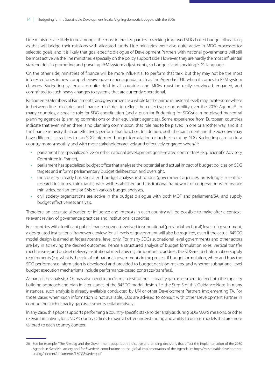Line ministries are likely to be amongst the most interested parties in seeking improved SDG-based budget allocations, as that will bridge their missions with allocated funds. Line ministries were also quite active in MDG processes for selected goals, and it is likely that goal-specific dialogue of Development Partners with national governments will still be most active via the line ministries, especially on the policy support side. However, they are hardly the most influential stakeholders in promoting and pursuing PFM system adjustments, so budgets start speaking SDG language.

On the other side, ministries of finance will be more influential to perform that task, but they may not be the most interested ones in new comprehensive governance agenda, such as the Agenda-2030 when it comes to PFM system changes. Budgeting systems are quite rigid in all countries and MOFs must be really convinced, engaged, and committed to such heavy changes to systems that are currently operational.

Parliaments (Members of Parliaments) and government as a whole (at the prime ministerial level) may locate somewhere in between line ministries and finance ministries to reflect the collective responsibility over the 2030 Agenda<sup>26</sup>. In many countries, a specific role for SDG coordination (and a push for Budgeting for SDGs) can be played by central planning agencies (planning commissions or their equivalent agencies). Some experience from European countries indicate that even when there is no planning commission, that role has to be played in one or another way, and it is the finance ministry that can effectively perform that function. In addition, both the parliament and the executive may have different capacities to run SDG-informed budget formulation or budget scrutiny. SDG Budgeting can run in a country more smoothly and with more stakeholders actively and effectively engaged when/if:

- parliament has specialized SDG or other national development goals-related committees (e.g. Scientific Advisory Committee in France),
- parliament has specialized budget office that analyses the potential and actual impact of budget policies on SDG targets and informs parliamentary budget deliberation and oversight,
- the country already has specialized budget analysis institutions (government agencies, arms-length scientificresearch institutes, think-tanks) with well-established and institutional framework of cooperation with finance ministries, parliaments or SAIs on various budget analyses,
- civil society organizations are active in the budget dialogue with both MOF and parliament/SAI and supply budget effectiveness analysis.

Therefore, an accurate allocation of influence and interests in each country will be possible to make after a contextrelevant review of governance practices and institutional capacities.

For countries with significant public finance powers devolved to subnational (provincial and local) levels of government, a designated institutional framework review for all levels of government will also be required, even if the actual B4SDG model design is aimed at federal/central level only. For many SDGs subnational level governments and other actors are key in achieving the desired outcomes, hence a structured analysis of budget formulation roles, vertical transfer mechanisms, and budget delivery institutional mechanisms, is important to address the SDG-related information supply requirements (e.g. what is the role of subnational governments in the process if budget formulation, when and how the SDG performance information is developed and provided to budget decision-makers, and whether subnational level budget execution mechanisms include performance-based contracts/transfers).

As part of the analysis, COs may also need to perform an institutional capacity gap assessment to feed into the capacity building approach and plan in later stages of the B4SDG model design, i.e. the Step 5 of this Guidance Note. In many instances, such analysis is already available conducted by UN or other Development Partners implementing TA. For those cases when such information is not available, COs are advised to consult with other Development Partner in conducting such capacity gap assessments collaboratively.

In any case, this paper supports performing a country-specific stakeholder analysis during SDG MAPS missions, or other relevant initiatives, for UNDP Country Offices to have a better understanding and ability to design models that are more tailored to each country context.

<sup>26</sup> See for example: "The Riksdag and the Government adopt both indicative and binding decisions that affect the implementation of the 2030 Agenda in Swedish society and for Sweden's contributions to the global implementation of the Agenda in: https://sustainabledevelopment. un.org/content/documents/16033Sweden.pdf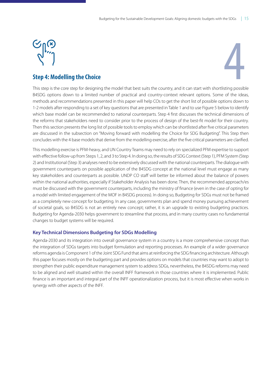

## <span id="page-20-0"></span>**Step 4: Modelling the Choice**

This step is the core step for designing the model that best suits the country, and it can start with shortlisting possible B4SDG options down to a limited number of practical and country-context relevant options. Some of the ideas, methods and recommendations presented in this paper will help COs to get the short list of possible options down to 1-2 models after responding to a set of key questions that are presented in Table 1 and to use Figure 5 below to identify which base model can be recommended to national counterparts. Step 4 first discusses the technical dimensions of the reforms that stakeholders need to consider prior to the process of design of the best-fit model for their country. Then this section presents the long list of possible tools to employ which can be shortlisted after five critical parameters are discussed in the subsection on "Moving forward with modelling the Choice for SDG Budgeting". This Step then concludes with the 4 base models that derive from the modelling exercise, after the five critical parameters are clarified.

This modelling exercise is PFM-heavy, and UN Country Teams may need to rely on specialized PFM expertise to support with effective follow-up from Steps 1, 2, and 3 to Step 4. In doing so, the results of SDG Context (Step 1), PFM System (Step 2) and Institutional (Step 3) analyses need to be extensively discussed with the national counterparts. The dialogue with government counterparts on possible application of the B4SDG concept at the national level must engage as many key stakeholders and counterparts as possible. UNDP CO staff will better be informed about the balance of powers within the national authorities, especially if Stakeholder Analysis has been done. Then, the recommended approach/es must be discussed with the government counterparts, including the ministry of finance (even in the case of opting for a model with limited engagement of the MOF in B4SDG process). In doing so, Budgeting for SDGs must not be framed as a completely new concept for budgeting. In any case, governments plan and spend money pursuing achievement of societal goals, so B4SDG is not an entirely new concept; rather, it is an upgrade to existing budgeting practices. Budgeting for Agenda-2030 helps government to streamline that process, and in many country cases no fundamental changes to budget systems will be required.

### **Key Technical Dimensions Budgeting for SDGs Modelling**

Agenda-2030 and its integration into overall governance system in a country is a more comprehensive concept than the integration of SDGs targets into budget formulation and reporting processes. An example of a wider governance reforms agenda is Component 1 of the Joint SDG Fund that aims at reinforcing the SDG financing architecture. Although this paper focuses mostly on the budgeting part and provides options on models that countries may want to adopt to strengthen their public expenditure management system to address SDGs, nevertheless, the B4SDG reforms may need to be aligned and well situated within the overall INFF framework in those countries where it is implemented. Public finance is an important and integral part of the INFF operationalization process, but it is most effective when works in synergy with other aspects of the INFF.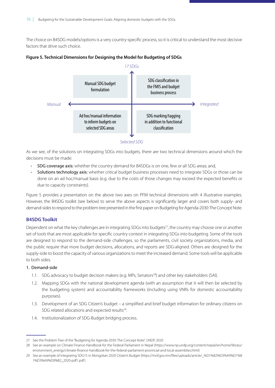<span id="page-21-0"></span>The choice on B4SDG models/options is a very country-specific process, so it is critical to understand the most decisive factors that drive such choice.





*Selected SDG*

As we see, of the solutions on integrating SDGs into budgets, there are two technical dimensions around which the decisions must be made:

- SDG coverage axis: whether the country demand for B4SDGs is on one, few or all SDG areas; and,
- Solutions technology axis: whether critical budget business processes need to integrate SDGs or those can be done on an ad hoc/manual basis (e.g. due to the costs of those changes may exceed the expected benefits or due to capacity constraints).

Figure 5 provides a presentation on the above two axes on PFM technical dimensions with 4 illustrative examples. However, the B4SDG toolkit (see below) to serve the above aspects is significantly larger and covers both supply- and demand-sides to respond to the problem tree presented in the first paper on Budgeting for Agenda-2030: The Concept Note.

### **B4SDG Toolkit**

Dependent on what the key challenges are in integrating SDGs into budgets<sup>27</sup>, the country may choose one or another set of tools that are most applicable for specific country context in integrating SDGs into budgeting. Some of the tools are designed to respond to the demand-side challenges, so the parliaments, civil society organizations, media, and the public require that more budget decisions, allocations, and reports are SDG-aligned. Others are designed for the supply-side to boost the capacity of various organizations to meet the increased demand. Some tools will be applicable to both sides.

### 1. Demand-side

- 1.1. SDG advocacy to budget decision makers (e.g. MPs, Senators<sup>28</sup>) and other key stakeholders (SAI).
- 1.2. Mapping SDGs with the national development agenda (with an assumption that it will then be selected by the budgeting system) and accountability frameworks (including using VNRs for domestic accountability purposes).
- 1.3. Development of an SDG Citizen's budget a simplified and brief budget information for ordinary citizens on SDG related allocations and expected results<sup>29</sup>.
- 1.4. Institutionalization of SDG-Budget bridging process.

<sup>27</sup> See the Problem Tree of the "Budgeting for Agenda-2030: The Concept Note", UNDP, 2020

<sup>28</sup> See an example on Climate Finance Handbook for the Federal Parliament in Nepal ([https://www.np.undp.org/content/nepal/en/home/library/](https://www.np.undp.org/content/nepal/en/home/library/environment_energy/climate-finance-handbook-for-the-federal-parliament-provincial-and-local-assemblies.html) [environment\\_energy/climate-finance-handbook-for-the-federal-parliament-provincial-and-local-assemblies.html](https://www.np.undp.org/content/nepal/en/home/library/environment_energy/climate-finance-handbook-for-the-federal-parliament-provincial-and-local-assemblies.html))

<sup>29</sup> See an example of integrating SDG15 in Mongolian 2020 Citizen's Budget ([https://mof.gov.mn/files/uploads/article/\\_%D1%82%D3%A9%D1%8](https://mof.gov.mn/files/uploads/article/_%D1%82%D3%A9%D1%81%D3%A9%D0%B2_2020-pdf1.pdf) [1%D3%A9%D0%B2\\_2020-pdf1.pdf](https://mof.gov.mn/files/uploads/article/_%D1%82%D3%A9%D1%81%D3%A9%D0%B2_2020-pdf1.pdf) )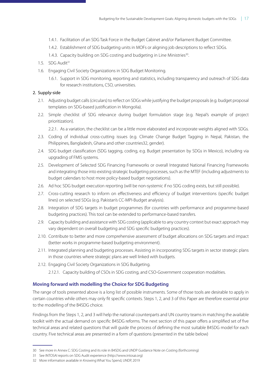- 1.4.1. Facilitation of an SDG Task Force in the Budget Cabinet and/or Parliament Budget Committee.
- 1.4.2. Establishment of SDG budgeting units in MOFs or aligning job descriptions to reflect SDGs.
- 1.4.3. Capacity building on SDG costing and budgeting in Line Ministries<sup>30</sup>.
- 1.5. SDG Audit $31$
- 1.6. Engaging Civil Society Organizations in SDG Budget Monitoring.
	- 1.6.1. Support in SDG monitoring, reporting and statistics, including transparency and outreach of SDG data for research institutions, CSO, universities.

### 2. Supply-side

- 2.1. Adjusting budget calls (circulars) to reflect on SDGs while justifying the budget proposals (e.g. budget proposal templates on SDG-based justification in Mongolia).
- 2.2. Simple checklist of SDG relevance during budget formulation stage (e.g. Nepal's example of project prioritization).

2.2.1. As a variation, the checklist can be a little more elaborated and incorporate weights aligned with SDGs.

- 2.3. Coding of individual cross-cutting issues (e.g. Climate Change Budget Tagging in Nepal, Pakistan, the Philippines, Bangladesh, Ghana and other countries32, gender).
- 2.4. SDG budget classification (SDG tagging, coding, e.g. Budget presentation by SDGs in Mexico), including via upgrading of FMIS systems.
- 2.5. Development of Selected SDG Financing Frameworks or overall Integrated National Financing Frameworks and integrating those into existing strategic budgeting processes, such as the MTEF (including adjustments to budget calendars to host more policy-based budget negotiations).
- 2.6. Ad hoc SDG budget execution reporting (will be non-systemic if no SDG coding exists, but still possible).
- 2.7. Cross-cutting research to inform on effectiveness and efficiency of budget interventions (specific budget lines) on selected SDGs (e.g. Pakistan's CC-MPI-Budget analysis).
- 2.8. Integration of SDG targets in budget programmes (for countries with performance and programme-based budgeting practices). This tool can be extended to performance-based transfers.
- 2.9. Capacity building and assistance with SDG costing (applicable to any country context but exact approach may vary dependent on overall budgeting and SDG specific budgeting practices).
- 2.10. Contribute to better and more comprehensive assessment of budget allocations on SDG targets and impact (better works in programme-based budgeting environment).
- 2.11. Integrated planning and budgeting processes. Assisting in incorporating SDG targets in sector strategic plans in those countries where strategic plans are well linked with budgets.
- 2.12. Engaging Civil Society Organizations in SDG Budgeting.
	- 2.12.1. Capacity building of CSOs in SDG costing, and CSO-Government cooperation modalities.

### **Moving forward with modelling the Choice for SDG Budgeting**

The range of tools presented above is a long list of possible instruments. Some of those tools are desirable to apply in certain countries while others may only fit specific contexts. Steps 1, 2, and 3 of this Paper are therefore essential prior to the modelling of the B4SDG choice.

Findings from the Steps 1, 2, and 3 will help the national counterparts and UN country teams in matching the available toolkit with the actual demand on specific B4SDG reforms. The next section of this paper offers a simplified set of five technical areas and related questions that will guide the process of defining the most suitable B4SDG model for each country. Five technical areas are presented in a form of questions (presented in the table below)

<sup>30</sup> See more in [Annex C: SDG Costing and its role in B4SDG](#page-39-1) and UNDP Guidance Note on Costing (forthcoming)

<sup>31</sup> See INTOSAI reports on SDG Audit experience ([http://www.intosai.org](http://www.intosai.org/about-us/sdgs-sais-and-regions.html))

<sup>32</sup> More information available in Knowing What You Spend, UNDP, 2019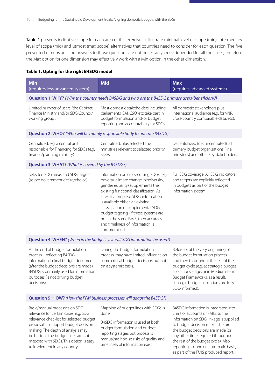<span id="page-23-0"></span>Table 1 presents indicative scope for each area of this exercise to illustrate minimal level of scope (min), intermediary level of scope (mid) and utmost (max scope) alternatives that countries need to consider for each question. The five presented dimensions and answers to those questions are not necessarily cross-depended for all the cases, therefore the Max option for one dimension may effectively work with a Min option in the other dimension.

#### **Table 1. Opting for the right B4SDG model**

| <b>Min</b><br>(requires less advanced system)                                                                                                                                                                                                 | Mid                                                                                                                                                                                                                                                                                                                                                                                                                  | <b>Max</b><br>(requires advanced systems)                                                                                                                                                                                                                                                    |  |  |
|-----------------------------------------------------------------------------------------------------------------------------------------------------------------------------------------------------------------------------------------------|----------------------------------------------------------------------------------------------------------------------------------------------------------------------------------------------------------------------------------------------------------------------------------------------------------------------------------------------------------------------------------------------------------------------|----------------------------------------------------------------------------------------------------------------------------------------------------------------------------------------------------------------------------------------------------------------------------------------------|--|--|
|                                                                                                                                                                                                                                               | Question 1: WHY? (Why the country needs B4SDG and who are the B4SDG primary users/beneficiary?)                                                                                                                                                                                                                                                                                                                      |                                                                                                                                                                                                                                                                                              |  |  |
| Limited number of users (the Cabinet,<br>Finance Ministry and/or SDG Council/<br>working group).                                                                                                                                              | Most domestic stakeholders including<br>parliaments, SAI, CSO, etc take part in<br>budget formulation and/or budget<br>reporting and accountability for SDGs.                                                                                                                                                                                                                                                        | All domestic stakeholders plus<br>international audience (e,g. for VNR,<br>cross-country comparable data, etc).                                                                                                                                                                              |  |  |
|                                                                                                                                                                                                                                               | Question 2: WHO? (Who will be mainly responsible body to operate B4SDG)                                                                                                                                                                                                                                                                                                                                              |                                                                                                                                                                                                                                                                                              |  |  |
| Centralized, e.g. a central unit<br>responsible for Financing for SDGs (e.g.<br>finance/planning ministry)                                                                                                                                    | Centralized, plus selected line<br>ministries relevant to selected priority<br>SDGs                                                                                                                                                                                                                                                                                                                                  | Decentralized (deconcentrated): all<br>primary budget organizations (line<br>ministries) and other key stakeholders                                                                                                                                                                          |  |  |
| Question 3: WHAT? (What is covered by the B4SDG?)                                                                                                                                                                                             |                                                                                                                                                                                                                                                                                                                                                                                                                      |                                                                                                                                                                                                                                                                                              |  |  |
| Selected SDG areas and SDG targets<br>(as per government desire/choice)                                                                                                                                                                       | Information on cross-cutting SDGs (e.g.<br>poverty, climate change, biodiversity,<br>gender equality) supplements the<br>existing functional classification. As<br>a result, complete SDGs information<br>is available either via existing<br>classification or supplemental SDG<br>budget tagging. (if these systems are<br>not in the same FMIS, then accuracy<br>and timeliness of information is<br>compromised. | Full SDG coverage: All SDG indicators<br>and targets are explicitly reflected<br>in budgets as part of the budget<br>information system.                                                                                                                                                     |  |  |
|                                                                                                                                                                                                                                               | Question 4: WHEN? (When in the budget cycle will SDG information be used?)                                                                                                                                                                                                                                                                                                                                           |                                                                                                                                                                                                                                                                                              |  |  |
| At the end of budget formulation<br>process - reflecting B4SDG<br>information in final budget documents<br>(after the budget decisions are made):<br>B4SDG is primarily used for information<br>purposes (is not driving budget<br>decisions) | During the budget formulation<br>process: may have limited influence on<br>some critical budget decisions but not<br>on a systemic basis.                                                                                                                                                                                                                                                                            | Before or at the very beginning of<br>the budget formulation process<br>and then throughout the rest of the<br>budget cycle (e.g. at strategic budget<br>allocations stage, or in Medium-Term<br>Budget Frameworks: as a result,<br>strategic budget allocations are fully<br>SDG-informed). |  |  |
| Question 5: HOW? (How the PFM business processes will adapt the B4SDG?)                                                                                                                                                                       |                                                                                                                                                                                                                                                                                                                                                                                                                      |                                                                                                                                                                                                                                                                                              |  |  |

Basic/manual processes on SDG relevance for certain cases, e.g. SDG relevance checklist for selected budget proposals to support budget decision making. The depth of analysis may be basic as the budget lines are not mapped with SDGs. This option is easy to implement in any country.

Mapping of budget lines with SDGs is done.

B4SDG information is used at both budget formulation and budget reporting stages but process is manual/ad hoc, so risks of quality and timeliness of information exist.

B4SDG information is integrated into chart of accounts or FMIS, so the information on SDG linkage is supplied to budget decision makers before the budget decisions are made (or any other time required throughout the rest of the budget cycle). Also, reporting is done on automatic basis, as part of the FMIS produced report.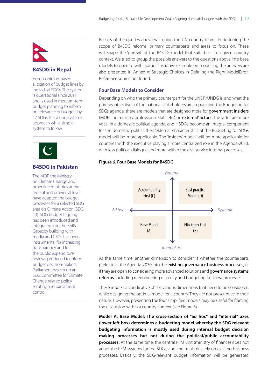<span id="page-24-0"></span>

### **B4SDG in Nepal**

Expert opinion-based allocation of budget lines by individual SDGs. The system is operational since 2017 and is used in medium-term budget planning to inform on relevance of budgets by 17 SDGs. It is a non-systemic approach while simple system to follow.



### **B4SDG in Pakistan**

The MOF, the Ministry on Climate Change and other line ministries at the federal and provincial level have adapted the budget processes for a selected SDG area on Climate Action (SDG 13). SDG budget tagging has been introduced and integrated into the FMIS. Capacity building with media and CSOs has been instrumental for increasing transparency and for the public expenditure reviews produced to inform budget decision-makers. Parliament has set up an SDG Committee for Climate Change related policy scrutiny and parliament control.

Results of the queries above will guide the UN country teams in designing the scope of B4SDG reforms, primary counterparts and areas to focus on. These will shape the 'portrait' of the B4SDG model that suits best in a given country context. We tried to group the possible answers to the questions above into base models to operate with. Some illustrative example on modelling the answers are also presented in Annex A: Strategic Choices in Defining the Right ModelError! Reference source not found..

### **Four Base Models to Consider**

Depending on who the primary counterpart for the UNDP/UNDG is, and what the primary objectives of the national stakeholders are in pursuing the Budgeting for SDGs agenda, there are models that are designed more for government insiders (MOF, line ministry professional staff, etc.) or 'external' actors. The latter are more vocal in a domestic political agenda, and if SDGs become an integral component for the domestic politics then 'external' characteristics of the Budgeting for SDGs model will be more applicable. The 'insiders' model' will be more applicable for countries with the executive playing a more centralized role in the Agenda-2030, with less political dialogue and more within the civil service internal processes.

### **Figure 6. Four Base Models for B4SDG**



At the same time, another dimension to consider is whether the counterparts prefer to fit the Agenda-2030 into the existing governance business processes, or if they are open to considering more advanced solutions and governance systems reforms, including reengineering of policy and budgeting business processes.

These models are indicative of the various dimensions that need to be considered while designing the optimal model for a country. They are not prescriptive in their nature. However, presenting the four simplified models may be useful for framing the discussion within a country context (see Figure 6).

**Model A: Base Model: The cross-section of "ad hoc" and "internal" axes (lower left box) determines a budgeting model whereby the SDG relevant budgeting information is mostly used during internal budget decision making processes but not during the political/public accountability processes.** At the same time, the central PFM unit (ministry of finance) does not adapt the PFM systems for the SDGs, and line ministries rely on existing business processes. Basically, the SDG-relevant budget information will be generated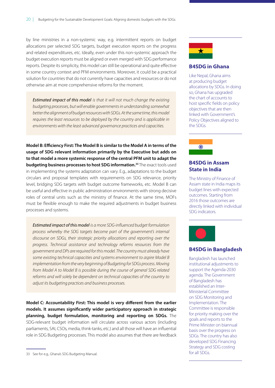by line ministries in a non-systemic way, e.g. intermittent reports on budget allocations per selected SDG targets, budget execution reports on the progress and related expenditures, etc. Ideally, even under this non-systemic approach the budget execution reports must be aligned or even merged with SDG performance reports. Despite its simplicity, this model can still be operational and quite effective in some country context and PFM environments. Moreover, it could be a practical solution for countries that do not currently have capacities and resources or do not otherwise aim at more comprehensive reforms for the moment.

*Estimated impact of this model is that it will not much change the existing budgeting processes, but will enable governments in understanding somewhat better the alignment of budget resources with SDGs. At the same time, this model requires the least resources to be deployed by the country and is applicable in environments with the least advanced governance practices and capacities.*

**Model B: Efciency First: The Model B is similar to the Model A in terms of the usage of SDG relevant information primarily by the Executive but adds on to that model a more systemic response of the central PFM unit to adapt the budgeting business processes to host SDG information.33** The exact tools used in implementing the systems adaptation can vary. E.g., adaptations to the budget circulars and proposal templates with requirements on SDG relevance, priority level, bridging SDG targets with budget outcome frameworks, etc. Model B can be useful and effective in public administration environments with strong decisive roles of central units such as the ministry of finance. At the same time, MOFs must be flexible enough to make the required adjustments in budget business processes and systems.

*Estimated impact of this model is a more SDG-in*f*uenced budget formulation process whereby the SDG targets become part of the government's internal discourse on SDGs, their strategic priority allocations and reporting over the progress. Technical assistance and technology reforms resources from the government and DPs are required for this model. The country must already have some existing technical capacities and systems environment to aspire Model B implementation from the very beginning of Budgeting for SDGs process. Moving from Model A to Model B is possible during the course of general SDG related reforms and will solely be dependent on technical capacities of the country to adjust its budgeting practices and business processes.*

**Model C: Accountability First: This model is very diferent from the earlier models. It assumes signifcantly wider participatory approach in strategic planning, budget formulation, monitoring and reporting on SDGs.** The SDG-relevant budget information will circulate across various actors (including parliaments, SAI, CSOs, media, think-tanks, etc.) and all those will have an influential role in SDG Budgeting processes. This model also assumes that there are feedback



### **B4SDG in Ghana**

Like Nepal, Ghana aims at producing budget allocations by SDGs. In doing so, Ghana has upgraded the chart of accounts to host specific fields on policy objectives that are then linked with Government's Policy Objectives aligned to the SDGs.



### **B4SDG in Assam State in India**

The Ministry of Finance of Assam state in India maps its budget lines with expected outcomes. Starting from 2016 those outcomes are directly linked with individual SDG indicators.



### **B4SDG in Bangladesh**

Bangladesh has launched institutional adjustments to support the Agenda-2030 agenda. The Government of Bangladesh has established an Inter-Ministerial Committee on SDG Monitoring and Implementation. The Committee is responsible for priority making over the goals and reports to the Prime Minister on biannual basis over the progress on SDGs. The country has also developed SDG Financing Strategy and SDG costing for all SDGs.

<sup>33</sup> See for e.g., Ghana's SDG Budgeting Manual.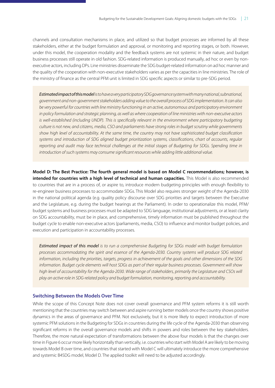channels and consultation mechanisms in place, and utilized so that budget processes are informed by all these stakeholders, either at the budget formulation and approval, or monitoring and reporting stages, or both. However, under this model, the cooperation modality and the feedback systems are not systemic in their nature, and budget business processes still operate in old fashion. SDG-related information is produced manually, ad hoc or even by nonexecutive actors, including DPs. Line ministries disseminate the SDG budget-related information on ad hoc manner and the quality of the cooperation with non-executive stakeholders varies as per the capacities in line ministries. The role of the ministry of finance as the central PFM unit is limited in SDG specific aspects or similar to pre-SDG period.

*Estimated impact of this modelis to have a very participatory SDG governance system with many national, subnational, government and non-government stakeholders adding value to the overall process of SDG implementation. It can also be very powerful for countries with line ministry functioning in an active, autonomous and participatory environment in policy formulation and strategic planning, as well as where cooperation of line ministries with non-executive actors is well-established (including UNDP). This is speci*f*cally relevant in the environment where participatory budgeting culture is not new, and citizens, media, CSO and parliaments have strong roles in budget scrutiny while governments show high level of accountability. At the same time, the country may not have sophisticated budget classi*f*cation systems and introduction of SDG aligned budget prioritization systems, classi*f*cations, chart of accounts, regular reporting and audit may face technical challenges at the initial stages of Budgeting for SDGs. Spending time in introduction of such systems may consume signi*f*cant resources while adding little additional value.*

**Model D: The Best Practice: The fourth general model is based on Model C recommendations; however, is intended for countries with a high level of technical and human capacities.** This Model is also recommended to countries that are in a process of, or aspire to, introduce modern budgeting principles with enough flexibility to re-engineer business processes to accommodate SDGs. This Model also requires stronger weight of the Agenda-2030 in the national political agenda (e.g. quality policy discourse over SDG priorities and targets between the Executive and the Legislature, e.g. during the budget hearings at the Parliament). In order to operationalize this model, PFM/ budget systems and business processes must be adapted to SDG language, institutional adjustments, or at least clarity on SDG accountability, must be in place, and comprehensive, timely information must be published throughout the budget cycle to enable non-executive actors (parliaments, media, CSO) to influence and monitor budget policies, and execution and participation in accountability processes.

*Estimated impact of this model is to run a comprehensive Budgeting for SDGs model with budget formulation processes accommodating the spirit and essence of the Agenda-2030. Country systems will produce SDG related information, including the priorities, targets, progress in achievement of the goals and other dimensions of the SDG information. Budget cycle elements will host SDGs as part of their regular business processes. Government will show high level of accountability for the Agenda-2030. Wide range of stakeholders, primarily the Legislature and CSOs will play an active role in SDG-related policy and budget formulation, monitoring, reporting and accountability.*

#### **Switching Between the Models Over Time**

While the scope of this Concept Note does not cover overall governance and PFM system reforms it is still worth mentioning that the countries may switch between and aspire running better models once the country shows positive dynamics in the areas of governance and PFM. Not exclusively, but it is more likely to expect introduction of more systemic PFM solutions in the Budgeting for SDGs in countries during the life cycle of the Agenda-2030 than observing significant reforms in the overall governance models and shifts in powers and roles between the key stakeholders. Therefore, the more natural expectation of transformations between the above four models is that the changes over time in Figure 6 occur more likely horizontally than vertically, i.e. countries who start with Model A are likely to be moving towards Model B over time, and countries that started with Model C will ultimately introduce the more comprehensive and systemic B4SDG model, Model D. The applied toolkit will need to be adjusted accordingly.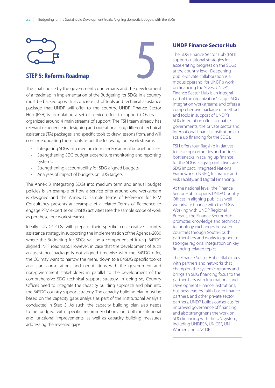<span id="page-27-0"></span>

The final choice by the government counterparts and the development of a roadmap in implementation of the Budgeting for SDGs in a country must be backed up with a concrete list of tools and technical assistance package that UNDP will offer to the country. UNDP Finance Sector Hub (FSH) is formulating a set of service offers to support COs that is organized around 4 main streams of support. The FSH team already has relevant experience in designing and operationalizing different technical assistance (TA) packages, and specific tools to draw lessons from, and will continue updating those tools as per the following four work streams:

- Integrating SDGs into medium term and/or annual budget policies.
- Strengthening SDG budget expenditure monitoring and reporting systems.
- Strengthening accountability for SDG-aligned budgets.
- Analyses of impact of budgets on SDG targets.

The Annex B: Integrating SDGs into medium term and annual budget policies is an example of how a service offer around one workstream is designed and the Annex D: Sample Terms of Reference for PFM Consultancy presents an example of a related Terms of Reference to engage PFM expertise on B4SDG activities (see the sample scope of work as per these four work streams).

Ideally, UNDP COs will prepare their specific collaborative country assistance strategy in supporting the implementation of the Agenda-2030 where the Budgeting for SDGs will be a component of it (e.g. B4SDG aligned INFF roadmap). However, in case that the development of such an assistance package is not aligned timewise with the B4SDG offer, the CO may want to narrow the menu down to a B4SDG specific toolkit and start consultations and negotiations with the government and non-government stakeholders in parallel to the development of the comprehensive SDG technical support strategy. In doing so, Country Offices need to integrate the capacity building approach and plan into the B4SDG country support strategy. The capacity building plan must be based on the capacity gaps analysis as part of the Institutional Analysis conducted in Step 3. As such, the capacity building plan also needs to be bridged with specific recommendations on both institutional and functional improvements, as well as capacity building measures addressing the revealed gaps.

### **UNDP Finance Sector Hub**

The SDG Finance Sector Hub (FSH) supports national strategies for accelerating progress on the SDGs at the country level. Deepening public-private collaboration is a modus operandi for UNDP's work on financing the SDGs. UNDP's Finance Sector Hub is an integral part of the organization's larger SDG Integration workstreams and offers a comprehensive package of methods and tools in support of UNDP's SDG Integration offer, to enable governments, the private sector and international financial institutions to scale up financing for the SDGs.

FSH offers four flagship initiatives to seize opportunities and address bottlenecks in scaling up finance for the SDGs. Flagship initiatives are SDG Impact, Integrated National Frameworks (INNFs), Insurance and Risk Facility, and Digital Financing.

At the national level, the Finance Sector Hub supports UNDP Country Offices in aligning public as well we private finance with the SDGs. Working with UNDP Regional Bureaus, the Finance Sector Hub promotes knowledge and technical/ technology exchanges between countries through South-South partnerships and works to generate stronger regional integration on key financing-related topics.

The Finance Sector Hub collaborates with partners and networks that champion the systemic reforms and brings an SDG financing focus to the partnerships with International and Development Finance Institutions, business leaders, faith-based finance partners, and other private sector partners. UNDP builds consensus for improved governance of financing, and also strengthens the work on SDG financing with the UN system, including UNDESA, UNICEF, UN Women and UNCDF.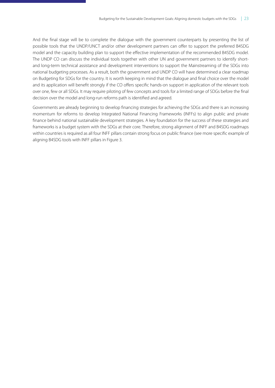And the final stage will be to complete the dialogue with the government counterparts by presenting the list of possible tools that the UNDP/UNCT and/or other development partners can offer to support the preferred B4SDG model and the capacity building plan to support the effective implementation of the recommended B4SDG model. The UNDP CO can discuss the individual tools together with other UN and government partners to identify shortand long-term technical assistance and development interventions to support the Mainstreaming of the SDGs into national budgeting processes. As a result, both the government and UNDP CO will have determined a clear roadmap on Budgeting for SDGs for the country. It is worth keeping in mind that the dialogue and final choice over the model and its application will benefit strongly if the CO offers specific hands-on support in application of the relevant tools over one, few or all SDGs. It may require piloting of few concepts and tools for a limited range of SDGs before the final decision over the model and long-run reforms path is identified and agreed.

Governments are already beginning to develop financing strategies for achieving the SDGs and there is an increasing momentum for reforms to develop Integrated National Financing Frameworks (INFFs) to align public and private finance behind national sustainable development strategies. A key foundation for the success of these strategies and frameworks is a budget system with the SDGs at their core. Therefore, strong alignment of INFF and B4SDG roadmaps within countries is required as all four INFF pillars contain strong focus on public finance (see more specific example of aligning B4SDG tools with INFF pillars in Figure 3.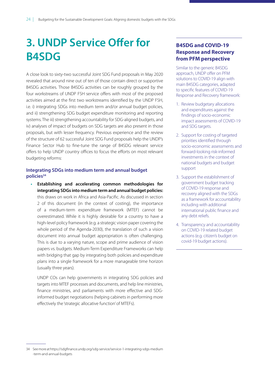# <span id="page-29-0"></span>**3. UNDP Service Ofer for B4SDG**

A close look to sixty-two successful Joint SDG Fund proposals in May 2020 revealed that around nine out of ten of those contain direct or supportive B4SDG activities. Those B4SDG activities can be roughly grouped by the four workstreams of UNDP FSH service offers with most of the proposed activities aimed at the first two workstreams identified by the UNDP FSH, i.e. i) integrating SDGs into medium term and/or annual budget policies, and ii) strengthening SDG budget expenditure monitoring and reporting systems. The iii) strengthening accountability for SDG-aligned budgets, and iv) analyses of impact of budgets on SDG targets are also present in those proposals, but with lesser frequency. Previous experience and the review of the structure of 62 successful Joint SDG Fund proposals help the UNDP's Finance Sector Hub to fine-tune the range of B4SDG relevant service offers to help UNDP country offices to focus the efforts on most relevant budgeting reforms:

### **Integrating SDGs into medium term and annual budget policies34**

**• Establishing and accelerating common methodologies for integrating SDGs into medium term and annual budget policies:**  this draws on work in Africa and Asia-Pacific. As discussed in section 2 of this document (in the context of costing), the importance of a medium-term expenditure framework (MTEF) cannot be overestimated. While it is highly desirable for a country to have a high-level policy framework (e.g. a strategic vision paper covering the whole period of the Agenda-2030), the translation of such a vision document into annual budget appropriation is often challenging. This is due to a varying nature, scope and prime audience of vision papers vs. budgets. Medium-Term Expenditure Frameworks can help with bridging that gap by integrating both policies and expenditure plans into a single framework for a more manageable time horizon (usually three years).

UNDP COs can help governments in integrating SDG policies and targets into MTEF processes and documents, and help line ministries, finance ministries, and parliaments with more effective and SDGinformed budget negotiations (helping cabinets in performing more effectively the 'strategic allocative function' of MTEFs).

### **B4SDG and COVID-19 Response and Recovery from PFM perspective**

Similar to the generic B4SDG approach, UNDP offer on PFM solutions to COVID-19 align with main B4SDG categories, adapted to specific features of COVID-19 Response and Recovery framework:

- 1. Review budgetary allocations and expenditures against the findings of socio-economic impact assessments of COVID-19 and SDG targets.
- 2. Support for costing of targeted priorities identified through socio-economic assessments and forward-looking risk-informed investments in the context of national budgets and budget support
- 3. Support the establishment of government budget tracking of COVID-19 response and recovery aligned with the SDGs as a framework for accountability including with additional international public finance and any debt reliefs.
- 4. Transparency and accountability on COVID-19 related budget actions (e.g. citizen's budget on covid-19 budget actions).

<sup>34</sup> See more at https://sdgfinance.undp.org/sdg-service/service-1-integrating-sdgs-medium -term-and-annual-budgets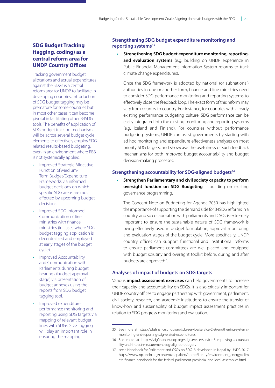### **SDG Budget Tracking (tagging, coding) as a central reform area for UNDP Country Ofces**

Tracking government budget allocations and actual expenditures against the SDGs is a central reform area for UNDP to facilitate in developing countries. Introduction of SDG budget tagging may be premature for some countries but in most other cases it can become pivotal in facilitating other B4SDG tools. The benefits of application of SDG budget tracking mechanism will be across several budget cycle elements to effectively employ SDG related results-based budgeting, even in an environment where RBB is not systemically applied:

- Improved Strategic Allocative Function of Medium-Term Budget/Expenditure Frameworks via informed budget decisions on which specific SDG areas are most affected by upcoming budget decisions.
- Improved SDG-Informed Communication of line ministries with finance ministries (in cases where SDG budget tagging application is decentralized and employed at early stages of the budget cycle).
- Improved Accountability and Communication with Parliaments during budget hearings (budget approval stage) via presentation of budget annexes using the reports from SDG budget tagging tool.
- Improved expenditure performance monitoring and reporting using SDG targets via mapping of relevant budget lines with SDGs. SDG tagging will play an important role in ensuring the mapping.

### **Strengthening SDG budget expenditure monitoring and**  reporting systems<sup>35</sup>

**• Strengthening SDG budget expenditure monitoring, reporting, and evaluation systems** (e.g. building on UNDP experience in Public Financial Management Information System reforms to track climate change expenditures).

Once the SDG framework is adopted by national (or subnational) authorities in one or another form, finance and line ministries need to consider SDG performance monitoring and reporting systems to effectively close the feedback loop. The exact form of this reform may vary from country to country. For instance, for countries with already existing performance budgeting culture, SDG performance can be easily integrated into the existing monitoring and reporting systems (e.g. Iceland and Finland). For countries without performance budgeting systems, UNDP can assist governments by starting with ad hoc monitoring and expenditure effectiveness analyses on most priority SDG targets, and showcase the usefulness of such feedback mechanisms for both improved budget accountability and budget decision-making processes.

### **Strengthening accountability for SDG-aligned budgets<sup>36</sup>**

**• Strengthen Parliamentary and civil society capacity to perform oversight function on SDG Budgeting** – building on existing governance programming.

The Concept Note on Budgeting for Agenda-2030 has highlighted the importance of supporting the demand side for B4SDG reforms in a country, and so collaboration with parliaments and CSOs is extremely important to ensure the sustainable nature of SDG framework is being effectively used in budget formulation, approval, monitoring and evaluation stages of the budget cycle. More specifically, UNDP country offices can support functional and institutional reforms to ensure parliament committees are well-placed and equipped with budget scrutiny and oversight toolkit before, during and after budgets are approved<sup>37</sup>.

### **Analyses of impact of budgets on SDG targets**

Various **impact assessment exercises** can help governments to increase their capacity and accountability on SDGs. It is also critically important for UNDP country offices to engage partnership with government, parliament, civil society, research, and academic institutions to ensure the transfer of know-how and sustainability of budget impact assessment practices in relation to SDG progress monitoring and evaluation.

<sup>35</sup> See more at https://sdgfinance.undp.org/sdg-service/service-2-strengthening-systemsmonitoring-and-reporting-sdg-related-expenditures

<sup>36</sup> See more at [https://sdgfinance.undp.org/sdg-service/service-3-improving-accountab](https://sdgfinance.undp.org/sdg-service/service-3-improving-accountability-and-impact-measurement-sdg-aligned-budgets) [ility-and-impact-measurement-sdg-aligned-budgets](https://sdgfinance.undp.org/sdg-service/service-3-improving-accountability-and-impact-measurement-sdg-aligned-budgets)

<sup>37</sup> see a Handbook for Parliament and CSOs on SDG13 developed in Nepal by UNDP, 2017 [https://www.np.undp.org/content/nepal/en/home/library/environment\\_energy/clim](https://www.np.undp.org/content/nepal/en/home/library/environment_energy/climate-finance-handbook-for-the-federal-parliament-provincial-and-local-assemblies.html) [ate-finance-handbook-for-the-federal-parliament-provincial-and-local-assemblies.html](https://www.np.undp.org/content/nepal/en/home/library/environment_energy/climate-finance-handbook-for-the-federal-parliament-provincial-and-local-assemblies.html)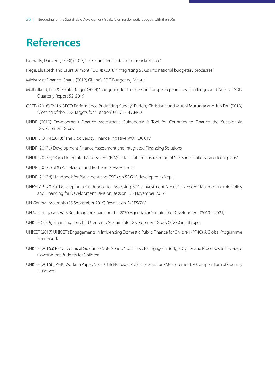# <span id="page-31-0"></span>**References**

Demailly, Damien (IDDRI) (2017) ["ODD: une feuille de route pour la France"](https://www.iddri.org/sites/default/files/import/publications/pb1117_dd_odd-france.pdf)

Hege, Elisabeth and Laura Brimont (IDDRI) (2018) "[Integrating SDGs into national budgetary processes"](https://www.iddri.org/sites/default/files/PDF/Publications/Catalogue%20Iddri/Etude/201807-ST0518-SDGs-budget-EN_1.pdf)

- Ministry of Finance, Ghana (2018) [Ghana's SDG Budgeting Manual](https://www.mofep.gov.gh/sites/default/files/news/SDG-Manual.pdf)
- Mulholland, Eric & Gerald Berger (2019) ["Budgeting for the SDGs in Europe: Experiences, Challenges and Needs"](https://www.sd-network.eu/quarterly%20reports/report%20files/pdf/2019-April-Budgeting_for_the_SDGs_in_Europe.pdf) ESDN Quarterly Report 52, 2019
- OECD (2016) "2016 OECD Performance Budgeting Survey" Rudert, Christiane and Mueni Mutunga and Jun Fan (2019) ["Costing of the SDG Targets for Nutrition"](https://www.unescap.org/sites/default/files/Session3_4_Costing%20of%20Nutrition%20Interventions_Jun%20Fan.pdf) UNICEF -EAPRO
- UNDP (2019) [Development Finance Assessment Guidebook: A Tool for Countries to Finance the Sustainable](https://www.asia-pacific.undp.org/content/rbap/en/home/library/sustainable-development/development-finance-assessment-guidebook.html) [Development Goals](https://www.asia-pacific.undp.org/content/rbap/en/home/library/sustainable-development/development-finance-assessment-guidebook.html)
- UNDP BIOFIN (2018) "The Biodiversity Finance Initiative WORKBOOK"
- UNDP (2017a) Development Finance Assessment and Integrated Financing Solutions
- UNDP (2017b) "Rapid Integrated Assessment (RIA): To facilitate mainstreaming of SDGs into national and local plans"
- UNDP (2017c) [SDG Accelerator and Bottleneck Assessment](http://www.undp.org/content/undp/en/home/librarypage/sustainable-development-goals/sdg-accelerator-and-bottleneck-assessment.html)
- UNDP (2017d) [Handbook for Parliament and CSOs on SDG13 developed in Nepal](https://www.np.undp.org/content/nepal/en/home/library/environment_energy/climate-finance-handbook-for-the-federal-parliament-provincial-and-local-assemblies.html)
- UNESCAP (2019) ["Developing a Guidebook for Assessing SDGs Investment Needs"](https://www.unescap.org/sites/default/files/Session_1_07_ESCAP_Daniel_SDG%20costing%20guidebook.pdf) UN ESCAP Macroeconomic Policy and Financing for Development Division, session 1, 5 November 2019
- UN General Assembly (25 September 2015) Resolution A/RES/70/1
- UN Secretary General's [Roadmap for Financing the 2030 Agenda for Sustainable Development \(2019 2021\)](https://www.un.org/sustainabledevelopment/wp-content/uploads/2019/07/UN-SG-Roadmap-Financing-the-SDGs-July-2019.pdf)
- UNICEF (2019) Financing the Child Centered Sustainable Development Goals (SDGs) in Ethiopia
- UNICEF (2017) [UNICEF's Engagements in Influencing Domestic Public Finance for Children \(PF4C\) A Global Programme](https://www.unicef.org/socialpolicy/files/UNICEF_Public_Finance_for_Children.pdf) [Framework](https://www.unicef.org/socialpolicy/files/UNICEF_Public_Finance_for_Children.pdf)
- UNICEF (2016a) [PF4C Technical Guidance Note Series, No. 1: How to Engage in Budget Cycles and Processes to Leverage](https://www.unicef.org/socialpolicy/files/Engaging_in_%20Budget_Cycles_and_Processes_FINAL.pdf) [Government Budgets for Children](https://www.unicef.org/socialpolicy/files/Engaging_in_%20Budget_Cycles_and_Processes_FINAL.pdf)
- UNICEF (2016b) [PF4C Working Paper, No. 2: Child-focused Public Expenditure Measurement: A Compendium of Country](https://www.unicef.org/socialpolicy/files/C-PEM_Compendium_FINAL.pdf) [Initiatives](https://www.unicef.org/socialpolicy/files/C-PEM_Compendium_FINAL.pdf)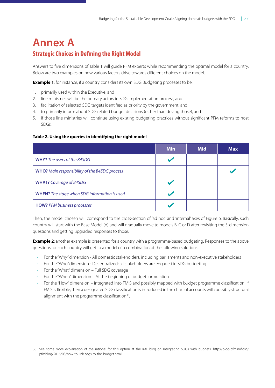# <span id="page-32-0"></span>**Annex A Strategic Choices in Defning the Right Model**

Answers to five dimensions of Table 1 will guide PFM experts while recommending the optimal model for a country. Below are two examples on how various factors drive towards different choices on the model.

**Example 1**: for instance, if a country considers its own SDG Budgeting processes to be:

- 1. primarily used within the Executive, and
- 2. line ministries will be the primary actors in SDG implementation process, and
- 3. facilitation of selected SDG targets identified as priority by the government, and
- 4. to primarily inform about SDG related budget decisions (rather than driving those), and
- 5. if those line ministries will continue using existing budgeting practices without significant PFM reforms to host SDGs;

### **Table 2. Using the queries in identifying the right model**

|                                                      | <b>Min</b> | <b>Mid</b> | <b>Max</b> |
|------------------------------------------------------|------------|------------|------------|
| <b>WHY?</b> The users of the B4SDG                   |            |            |            |
| <b>WHO?</b> Main responsibility of the B4SDG process |            |            |            |
| <b>WHAT?</b> Coverage of B4SDG                       |            |            |            |
| <b>WHEN?</b> The stage when SDG information is used  |            |            |            |
| <b>HOW?</b> PFM business processes                   |            |            |            |

Then, the model chosen will correspond to the cross-section of 'ad hoc' and 'internal' axes of Figure 6. Basically, such country will start with the Base Model (A) and will gradually move to models B, C or D after revisiting the 5-dimension questions and getting upgraded responses to those.

**Example 2**: another example is presented for a country with a programme-based budgeting. Responses to the above questions for such country will get to a model of a combination of the following solutions:

- For the "Why" dimension All domestic stakeholders, including parliaments and non-executive stakeholders
- For the "Who" dimension Decentralized: all stakeholders are engaged in SDG budgeting
- For the "What" dimension Full SDG coverage
- For the "When" dimension At the beginning of budget formulation
- For the "How" dimension integrated into FMIS and possibly mapped with budget programme classification. If FMIS is flexible, then a designated SDG classification is introduced in the chart of accounts with possibly structural alignment with the programme classification<sup>38</sup>.

<sup>38</sup> See some more explanation of the rational for this option at the IMF blog on Integrating SDGs with budgets, [http://blog-pfm.imf.org/](http://blog-pfm.imf.org/pfmblog/2016/08/how-to-link-sdgs-to-the-budget.html) [pfmblog/2016/08/how-to-link-sdgs-to-the-budget.html](http://blog-pfm.imf.org/pfmblog/2016/08/how-to-link-sdgs-to-the-budget.html)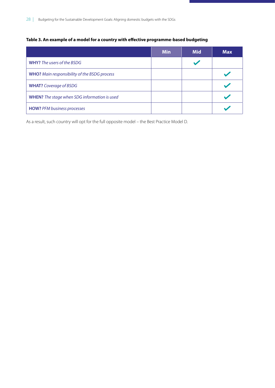### <span id="page-33-0"></span>**Table 3. An example of a model for a country with efective programme-based budgeting**

|                                                     | <b>Min</b> | <b>Mid</b> | <b>Max</b> |
|-----------------------------------------------------|------------|------------|------------|
| <b>WHY?</b> The users of the BSDG                   |            |            |            |
| <b>WHO?</b> Main responsibility of the BSDG process |            |            |            |
| <b>WHAT?</b> Coverage of BSDG                       |            |            |            |
| <b>WHEN?</b> The stage when SDG information is used |            |            |            |
| <b>HOW?</b> PFM business processes                  |            |            |            |

As a result, such country will opt for the full opposite model – the Best Practice Model D.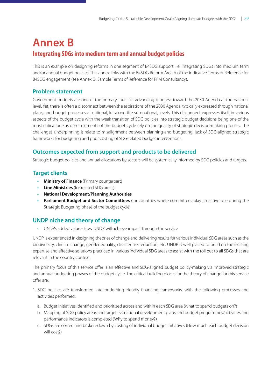# <span id="page-34-0"></span>**Annex B Integrating SDGs into medium term and annual budget policies**

This is an example on designing reforms in one segment of B4SDG support, i.e. Integrating SDGs into medium term and/or annual budget policies. This annex links with the B4SDG Reform Area A of the indicative Terms of Reference for B4SDG engagement (see Annex D: Sample Terms of Reference for PFM Consultancy).

### **Problem statement**

Government budgets are one of the primary tools for advancing progress toward the 2030 Agenda at the national level. Yet, there is often a disconnect between the aspirations of the 2030 Agenda, typically expressed through national plans, and budget processes at national, let alone the sub-national, levels. This disconnect expresses itself in various aspects of the budget cycle with the weak transition of SDG policies into strategic budget decisions being one of the most critical one as other elements of the budget cycle rely on the quality of strategic decision-making process. The challenges underpinning it relate to misalignment between planning and budgeting, lack of SDG-aligned strategic frameworks for budgeting and poor costing of SDG-related budget interventions.

### **Outcomes expected from support and products to be delivered**

Strategic budget policies and annual allocations by sectors will be systemically informed by SDG policies and targets.

## **Target clients**

- **• Ministry of Finance** (Primary counterpart)
- **• Line Ministries** (for related SDG areas)
- **• National Development/Planning Authorities**
- **• Parliament Budget and Sector Committees** (for countries where committees play an active role during the Strategic Budgeting phase of the budget cycle)

# **UNDP niche and theory of change**

• UNDPs added value - How UNDP will achieve impact through the service

UNDP is experienced in designing theories of change and delivering results for various individual SDG areas such as the biodiversity, climate change, gender equality, disaster risk reduction, etc. UNDP is well placed to build on the existing expertise and effective solutions practiced in various individual SDG areas to assist with the roll out to all SDGs that are relevant in the country context.

The primary focus of this service offer is an effective and SDG-aligned budget policy-making via improved strategic and annual budgeting phases of the budget cycle. The critical building blocks for the theory of change for this service offer are:

- 1. SDG policies are transformed into budgeting-friendly financing frameworks, with the following processes and activities performed:
	- a. Budget initiatives identified and prioritized across and within each SDG area (what to spend budgets on?)
	- b. Mapping of SDG policy areas and targets vs national development plans and budget programmes/activities and performance indicators is completed (Why to spend money?)
	- c. SDGs are costed and broken-down by costing of individual budget initiatives (How much each budget decision will cost?)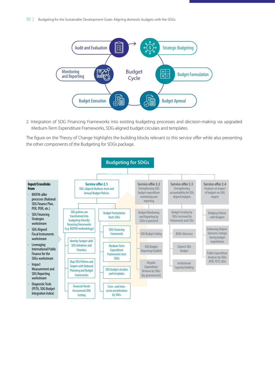

2. Integration of SDG Financing Frameworks into existing budgeting processes and decision-making via upgraded Medium-Term Expenditure Frameworks, SDG-aligned budget circulars and templates.

The figure on the Theory of Change highlights the building blocks relevant to this service offer while also presenting the other components of the Budgeting for SDGs package.

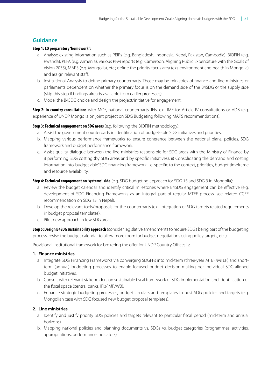## **Guidance**

### **Step 1: CO preparatory 'homework':**

- a. Analyse existing information such as PEIRs (e.g. [Bangladesh](https://www.climatefinance-developmenteffectiveness.org/sites/default/files/publication/attach/Bangladesh%20Climate%20Fiscal%20Framework%202014.pdf), [Indonesia,](https://www.climatefinance-developmenteffectiveness.org/sites/default/files/documents/03_02_15/Indonesia_MFF_report.pdf) [Nepal](https://www.climatefinance-developmenteffectiveness.org/sites/default/files/CCFF_Nepal_FINAL_Web.pdf), [Pakistan](https://www.climatefinance-developmenteffectiveness.org/sites/default/files/KP-CCFF.pdf), [Cambodia\)](https://www.google.com/url?sa=t&rct=j&q=&esrc=s&source=web&cd=9&ved=2ahUKEwirwq6A1pHiAhXGwqYKHdFdAOkQFjAIegQICBAC&url=http%3A%2F%2Fwww.camclimate.org.kh%2Fen%2Fdocuments-and-media%2Flibrary%2Fcategory%2F135-climate-change-financing-framework-ccff.html%3Fdownload%3D706%3Aclimate-change-financing-framework-full-report-en&usg=AOvVaw2nR27Vz_lNyyzs51cUxcjE), BIOFIN (e.g. [Rwanda](https://www.biodiversityfinance.net/sites/default/files/content/knowledge_products/FNA%20Final%20Draft%20Report%20%20-Rwanda%20.pdf)), PEFA (e.g. [Armenia](https://www.pefa.org/assessment/am-may14-pfmpr-public-en)), various PFM reports (e.g. [Cameroon: Aligning Public Expenditure with the Goals of](http://documents.worldbank.org/curated/en/501141543353309471/pdf/124725-REVISED-Cameroon-public-expenditure-review-2018-FINAL.pdf)  [Vision 2035](http://documents.worldbank.org/curated/en/501141543353309471/pdf/124725-REVISED-Cameroon-public-expenditure-review-2018-FINAL.pdf)), MAPS (e.g. [Mongolia\)](https://unmongolia.files.wordpress.com/2018/07/un_adb_maps_mongolia_report_eng_final-2.pdf), etc.; define the priority focus area (e.g. [environment](https://www.sdgfin.org/wp-content/uploads/2019/04/Policy-brief-on-BSDG-for-MOET.pdf) and [health](https://www.sdgfin.org/wp-content/uploads/2019/04/Policy-brief-on-BSDG-for-MOH-Secretary.pdf) in Mongolia) and assign relevant staff.
- b. Institutional Analysis to define primary counterparts. Those may be ministries of finance and line ministries or parliaments dependent on whether the primary focus is on the demand side of the B4SDG or the supply side (skip this step if findings already available from earlier processes).
- c. Model the B4SDG choice and design the project/initiative for engagement.

**Step 2: In-country consultations** with MOF, national counterparts, IFIs, e.g. IMF for Article IV consultations or ADB (e.g. experience of UNDP Mongolia on joint project on SDG Budgeting following MAPS recommendations).

**Step 3: Technical engagement on SDG areas** (e.g. following the BIOFIN methodology):

- a. Assist the government counterparts in identification of budget-able SDG initiatives and priorities.
- b. Mapping various performance frameworks to ensure coherence between the national plans, policies, SDG framework and budget performance framework.
- c. Assist quality dialogue between the line ministries responsible for SDG areas with the Ministry of Finance by i) performing SDG costing (by [SDG areas](https://www.unescap.org/sites/default/files/Openinig%20session_ESCAP%20Survey%20team%20preliminary%20findings.pdf) and by [specific initiatives](https://www.scribd.com/document/409401862/Budgeting-for-SDGs-in-Mongolia-Integrating-Sustainable-Development-Goals-in-Budget)); ii) Consolidating the demand and costing information into 'budget-able' SDG financing framework, i.e. specific to the context, priorities, budget timeframe and resource availability.

### **Step 4: Technical engagement on 'systems'-side** (e.g. [SDG budgeting approach](https://www.scribd.com/document/409401862/Budgeting-for-SDGs-in-Mongolia-Integrating-Sustainable-Development-Goals-in-Budget) for SDG 15 and SDG 3 in Mongolia):

- a. Review the budget calendar and identify critical milestones where B4SDG engagement can be effective (e.g. development of SDG Financing Frameworks as an integral part of regular MTEF process, see related [CCFF](http://www.np.undp.org/content/dam/nepal/docs/2018_undpnepal/CCFF_Feb2018.pdf)  [recommendation on SDG 13 in Nepal](http://www.np.undp.org/content/dam/nepal/docs/2018_undpnepal/CCFF_Feb2018.pdf)).
- b. Develop the relevant tools/proposals for the counterparts (e.g. integration of SDG targets related requirements in budget proposal templates).
- c. Pilot new approach in few SDG areas.

**Step 5: Design B4SDG sustainability approach** (consider legislative amendments to require SDGs being part of the budgeting process, revise the budget calendar to allow more room for budget negotiations using policy targets, etc.).

Provisional institutional framework for brokering the offer for UNDP Country Offices is:

### **1. Finance ministries**

- a. Integrate SDG Financing Frameworks via converging SDGFFs into mid-term (three-year MTBF/MTEF) and shortterm (annual) budgeting processes to enable focused budget decision-making per individual SDG-aligned budget initiatives.
- b. Consult with relevant stakeholders on sustainable fiscal framework of SDG implementation and identification of the fiscal space (central banks, IFIs/IMF/WB).
- c. Enhance strategic budgeting processes, budget circulars and templates to host SDG policies and targets (e.g. Mongolian case with SDG focused new budget proposal templates).

### **2. Line ministries**

- a. Identify and justify priority SDG policies and targets relevant to particular fiscal period (mid-term and annual horizons)
- b. Mapping national policies and planning documents vs. SDGs vs. budget categories (programmes, activities, appropriations, performance indicators)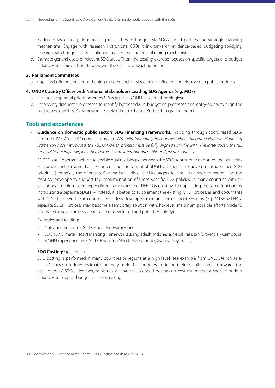- c. Evidence-based budgeting: bridging research with budgets via SDG-aligned policies and strategic planning mechanisms. Engage with research institutions, CSOs, think tanks on evidence-based budgeting (bridging research with budgets via SDG-aligned policies and strategic planning mechanisms.
- d. Estimate general costs of relevant SDG areas. Then, the costing exercise focuses on specific targets and budget initiatives to achieve those targets over the specific budgeting period.

#### **3. Parliament Committees**

a. Capacity building and strengthening the demand for SDGs being reflected and discussed in public budgets

#### **4. UNDP Country Ofces with National Stakeholders Leading SDG Agenda (e.g. MOF)**

- a. facilitate scoping of prioritization by SDGs (e.g. via BIOFIN -alike methodologies)
- b. Employing diagnostic processes to identify bottlenecks in budgeting processes and entry-points to align the budget cycle with SDG framework (e.g. via Climate Change Budget Integration Index).

### **Tools and experiences**

**• Guidance on domestic public sectors SDG Financing Frameworks,** including through coordinated SDGinformed IMF Article IV consultations and WB PERs *(potential). In countries where Integrated National Financing Frameworks are introduced, then SDGFF/MTEF process must be fully aligned with the INFF. The latter covers the full range of* f*nancing* f*ows, including domestic and international public and private* f*nances.* 

SDGFF is an important vehicle to enable quality dialogue between the SDG front-runner ministries and ministries of finance and parliaments. The content and the format of SDGFFs is specific to government identified SDG priorities (not solely the priority SDG areas but individual SDG targets to attain in a specific period) and the resource envelope to support the implementation of those specific SDG policies. In many countries with an operational medium-term expenditure framework and INFF COs must avoid duplicating the same function by introducing a separate SDGFF – instead, it is better to supplement the existing MTEF processes and documents with SDG framework. For countries with less developed medium-term budget systems (e.g. MTBF, MTFF) a separate SDGFF process may become a temporary solution with, however, maximum possible efforts made to integrate those at some stage (or at least developed and published jointly).

Examples and reading:

- [Guidance Note on SDG 13 Financing Framework](https://www.climatefinance-developmenteffectiveness.org/sites/default/files/publication/attach/Hard%20Choices%20-%20Integrated%20Approaches.pdf)
- SDG 13 / Climate Fiscal/Financing Frameworks [\(Bangladesh,](https://www.climatefinance-developmenteffectiveness.org/sites/default/files/publication/attach/Bangladesh%20Climate%20Fiscal%20Framework%202014.pdf) [Indonesia](https://www.climatefinance-developmenteffectiveness.org/sites/default/files/documents/03_02_15/Indonesia_MFF_report.pdf), [Nepal,](https://www.climatefinance-developmenteffectiveness.org/sites/default/files/CCFF_Nepal_FINAL_Web.pdf) [Pakistan](https://www.climatefinance-developmenteffectiveness.org/sites/default/files/KP-CCFF.pdf) (provincial), [Cambodia.](https://www.google.com/url?sa=t&rct=j&q=&esrc=s&source=web&cd=9&ved=2ahUKEwirwq6A1pHiAhXGwqYKHdFdAOkQFjAIegQICBAC&url=http%3A%2F%2Fwww.camclimate.org.kh%2Fen%2Fdocuments-and-media%2Flibrary%2Fcategory%2F135-climate-change-financing-framework-ccff.html%3Fdownload%3D706%3Aclimate-change-financing-framework-full-report-en&usg=AOvVaw2nR27Vz_lNyyzs51cUxcjE)
- BIOFIN experience on SDG 15 Financing Needs Assessment ([Rwanda](https://www.biodiversityfinance.net/sites/default/files/content/knowledge_products/FNA%20Final%20Draft%20Report%20%20-Rwanda%20.pdf), [Seychelles](https://www.biodiversityfinance.net/sites/default/files/content/knowledge_products/BIOFIN%20-%20FNA%20Final%203.pdf)).

#### **SDG Costing<sup>39</sup>** (potential)

SDG costing is performed in many countries or regions at a high level (see [example from UNESCAP on Asia-](https://www.unescap.org/sites/default/files/Openinig%20session_ESCAP%20Survey%20team%20preliminary%20findings.pdf)[Pacific\)](https://www.unescap.org/sites/default/files/Openinig%20session_ESCAP%20Survey%20team%20preliminary%20findings.pdf). These top-down estimates are very useful for countries to define their overall approach towards the attainment of SDGs. However, ministries of finance also need bottom-up cost estimates for specific budget initiatives to support budget decision-making.

<sup>39</sup> See more on SDG costing in the Annex C: SDG Costing and its role in B4SDG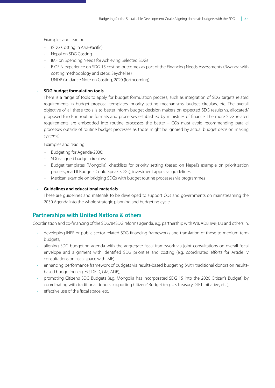Examples and reading:

- [\(SDG Costing in Asia-Pacific](https://www.unescap.org/sites/default/files/Openinig%20session_ESCAP%20Survey%20team%20preliminary%20findings.pdf))
- [Nepal](https://www.unescap.org/sites/default/files/Nepal_15.pdf) on SDG Costing
- [IMF](https://imf.org/~/media/Files/Topics/SDG/imf-sdg-note-methodology.ashx?la=en) on Spending Needs for Achieving Selected SDGs
- BIOFIN experience on SDG 15 costing outcomes as part of the Financing Needs Assessments [\(Rwanda](https://www.biodiversityfinance.net/sites/default/files/content/knowledge_products/FNA%20Final%20Draft%20Report%20%20-Rwanda%20.pdf) with costing methodology and steps, [Seychelles\)](https://www.biodiversityfinance.net/sites/default/files/content/knowledge_products/BIOFIN%20-%20FNA%20Final%203.pdf)
- UNDP Guidance Note on Costing, 2020 (forthcoming)

### • **SDG budget formulation tools**

There is a range of tools to apply for budget formulation process, such as integration of SDG targets related requirements in budget proposal templates, priority setting mechanisms, budget circulars, etc. The overall objective of all these tools is to better inform budget decision makers on expected SDG results vs. allocated/ proposed funds in routine formats and processes established by ministries of finance. The more SDG related requirements are embedded into routine processes the better – COs must avoid recommending parallel processes outside of routine budget processes as those might be ignored by actual budget decision making systems).

Examples and reading:

- [Budgeting for Agenda-2030:](https://www.sdgfin.org/wp-content/uploads/2019/04/Budgeting-for-SDGs-choosing-the-right-model-v2.8.pdf)
- SDG-aligned budget circulars;
- Budget templates [\(Mongolia](https://www.sdgfin.org/wp-content/uploads/2019/04/Policy-brief-on-BSDG-for-MOH-Secretary.pdf)); checklists for priority setting (based on Nepal's example on prioritization process, read [If Budgets Could Speak SDGs\)](http://www.asia-pacific.undp.org/content/rbap/en/home/blog/2017/4/17/If-Budgets-Could-Speak-Sustainable-Development.html); investment appraisal guidelines
- Mexican example on [bridging SDGs with budget routine processes](https://www.sdgfin.org/wp-content/uploads/2019/04/Mexico-SDG-Budgeting_190410_Webinar_v1_revAS.pdf) via programmes

### • **Guidelines and educational materials**

These are guidelines and materials to be developed to support COs and governments on mainstreaming the 2030 Agenda into the whole strategic planning and budgeting cycle.

### **Partnerships with United Nations & others**

Coordination and co-financing of the SDG/B4SDG reforms agenda, e.g. partnership with WB, ADB, IMF, EU and others in:

- developing INFF or public sector related SDG financing frameworks and translation of those to medium-term budgets,
- aligning SDG budgeting agenda with the aggregate fiscal framework via joint consultations on overall fiscal envelope and alignment with identified SDG priorities and costing (e.g. coordinated efforts for Article IV consultations on fiscal space with IMF)
- enhancing performance framework of budgets via results-based budgeting (with traditional donors on resultsbased budgeting, e.g. EU, DFID, GIZ, ADB),
- promoting Citizen's SDG Budgets (e.g. Mongolia has incorporated SDG 15 into the 2020 Citizen's Budget) by coordinating with traditional donors supporting Citizens' Budget (e.g. US Treasury, GIFT initiative, etc.),
- effective use of the fiscal space, etc.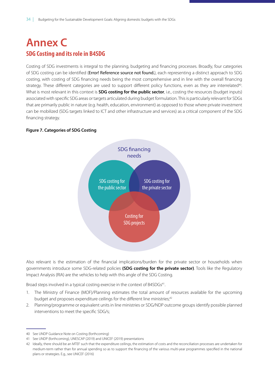# <span id="page-39-1"></span><span id="page-39-0"></span>**Annex C SDG Costing and its role in B4SDG**

Costing of SDG investments is integral to the planning, budgeting and financing processes. Broadly, four categories of SDG costing can be identified (Error! Reference source not found.), each representing a distinct approach to SDG costing, with costing of SDG financing needs being the most comprehensive and in line with the overall financing strategy. These different categories are used to support different policy functions, even as they are interrelated<sup>40</sup>. What is most relevant in this context is **SDG costing for the public sector**, i.e., costing the resources (budget inputs) associated with specific SDG areas or targets articulated during budget formulation. This is particularly relevant for SDGs that are primarily public in nature (e.g. health, education, environment) as opposed to those where private investment can be mobilized (SDG targets linked to ICT and other infrastructure and services) as a critical component of the SDG financing strategy.

### **Figure 7. Categories of SDG Costing**



Also relevant is the estimation of the financial implications/burden for the private sector or households when governments introduce some SDG-related policies **(SDG costing for the private sector)**. Tools like the Regulatory Impact Analysis (RIA) are the vehicles to help with this angle of the SDG Costing.

Broad steps involved in a typical costing exercise in the context of B4SDGs<sup>41</sup>.

- 1. The Ministry of Finance (MOF)/Planning estimates the total amount of resources available for the upcoming budget and proposes expenditure ceilings for the different line ministries,<sup>42</sup>
- 2. Planning/programme or equivalent units in line ministries or SDG/NDP outcome groups identify possible planned interventions to meet the specific SDG/s;

<sup>40</sup> See UNDP Guidance Note on Costing (forthcoming)

<sup>41</sup> See UNDP (forthcoming), UNESCAP (2019) and UNICEF (2019) presentations

<sup>42</sup> Ideally, there should be an MTEF such that the expenditure ceilings, the estimation of costs and the reconciliation processes are undertaken for medium-term rather than for annual spending so as to support the financing of the various multi-year programmes specified in the national plans or strategies. E.g., see UNICEF (2016)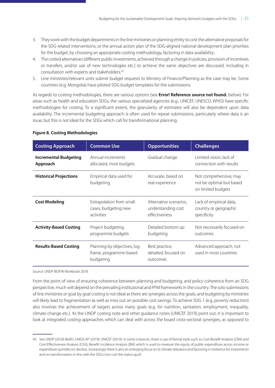- <span id="page-40-0"></span>3. They work with the budget departments in the line ministries or planning entity to cost the alternative proposals for the SDG related interventions, or the annual action plan of the SDG-aligned national development plan priorities for the budget, by choosing an appropriate costing methodology, factoring in data availability;
- 4. The costed alternatives (different public investments, achieved through a change in policies, provision of incentives or transfers, and/or use of new technologies etc.) to achieve the same objectives are discussed, including in consultation with experts and stakeholders.43
- 5. Line ministries/relevant units submit budget requests to Ministry of Finance/Planning as the case may be. Some countries (e.g. Mongolia) have piloted SDG budget templates for the submissions.

As regards to costing methodologies, there are various options (see **Error! Reference source not found.** below). For areas such as health and education SDGs, the various specialized agencies (e.g., UNICEF, UNESCO, WHO) have specific methodologies for costing. To a significant extent, the granularity of estimates will also be dependent upon data availability. The incremental budgeting approach is often used for repeat submissions, particularly where data is an issue, but this is not ideal for the SDGs which call for transformational planning.

| <b>Costing Approach</b>       | <b>Common Use</b>                                                  | <b>Opportunities</b>                               | <b>Challenges</b>                                                        |
|-------------------------------|--------------------------------------------------------------------|----------------------------------------------------|--------------------------------------------------------------------------|
| <b>Incremental Budgeting</b>  | Annual increments                                                  | Gradual change                                     | Limited vision, lack of                                                  |
| Approach                      | allocated, most budgets                                            |                                                    | connection with results                                                  |
| <b>Historical Projections</b> | Empirical data used for<br>budgeting                               | Accurate, based on<br>real experience              | Not comprehensive, may<br>not be optimal but based<br>on limited budgets |
| <b>Cost Modeling</b>          | Extrapolation from small                                           | Alternative scenarios,                             | Lack of empirical data,                                                  |
|                               | cases, budgeting new                                               | understanding cost                                 | country or geographic                                                    |
|                               | activities                                                         | effectiveness                                      | specificity                                                              |
| <b>Activity-Based Costing</b> | Project budgeting,                                                 | Detailed bottom up                                 | Not necessarily focused on                                               |
|                               | programme budgets                                                  | budgeting                                          | outcomes                                                                 |
| <b>Results-Based Costing</b>  | Planning by objectives, log<br>frame, programme-based<br>budgeting | Best practice,<br>detailed, focused on<br>outcomes | Advanced approach, not<br>used in most countries                         |

### **Figure 8. Costing Methodologies**

Source: UNDP BIOFIN Workbook 2018

From the point of view of ensuring coherence between planning and budgeting, and policy coherence from an SDG perspective, much will depend on the prevailing institutional and PFM frameworks in the country. The solo submissions of line ministries or goal by goal costing is not ideal as there are synergies across the goals, and budgeting by ministries will likely lead to fragmentation as well as miss out on possible cost savings. To achieve SDG 1 (e.g. poverty reduction) also involves the achievement of targets across many goals (e.g. for nutrition, sanitation, employment, inequality, climate change etc.). As the UNDP costing note and other guidance notes (UNICEF 2019) point out, it is important to look at integrated costing approaches which can deal with across the board cross-sectoral synergies, as opposed to

<sup>43</sup> See UNDP (2018) Biofin; UNESCAP (2019); UNICEF (2019). In some instances, there is use of formal tools such as Cost-Benefit Analysis (CBA) and Cost-Effectiveness Analysis (CEA); Benefit Incidence Analysis (BIA) which is used to measure the equity of public expenditure across income or expenditure quintiles (or deciles). Increasingly there is also an emerging focus on (i) climate relevance and factoring in resilience for investments and on transformation in line with the SDGs (not cost the status quo!)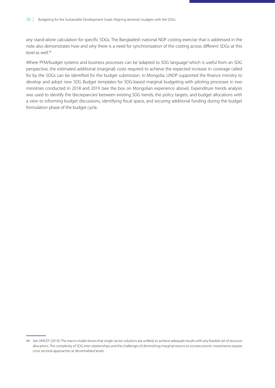any stand-alone calculation for specific SDGs. The Bangladesh national NDP costing exercise that is addressed in the note also demonstrates how and why there is a need for synchronization of the costing across different SDGs at this level as well.<sup>44</sup>

Where PFM/budget systems and business processes can be 'adapted to SDG language' which is useful from an SDG perspective, the estimated additional (marginal) costs required to achieve the expected increase in coverage called for by the SDGs can be identified for the budget submission. In Mongolia, UNDP supported the finance ministry to develop and adopt new SDG Budget templates for SDG-based marginal budgeting with piloting processes in two ministries conducted in 2018 and 2019 (see the box on Mongolian experience above). Expenditure trends analysis was used to identify the 'discrepancies' between existing SDG trends, the policy targets, and budget allocations with a view to informing budget discussions, identifying fiscal space, and securing additional funding during the budget formulation phase of the budget cycle.

<sup>44</sup> See UNICEF (2019). The macro model shows that single-sector solutions are unlikely to achieve adequate results with any feasible set of resource allocations. The complexity of SDG inter-relationships and the challenges of diminishing marginal returns to socioeconomic investments require cross sectoral approaches at decentralized levels.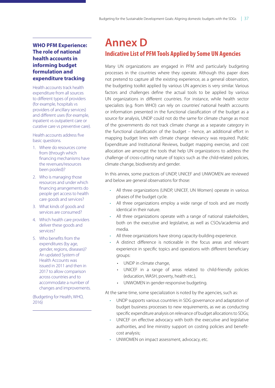### <span id="page-42-0"></span>**WHO PFM Experience: The role of national health accounts in informing budget formulation and expenditure tracking**

Health accounts track health expenditure from all sources to different types of providers (for example, hospitals vs providers of ancillary services) and different uses (for example, inpatient vs outpatient care or curative care vs preventive care).

Health accounts address five basic questions.

- 1. Where do resources come from (through which financing mechanisms have the revenues/resources been pooled)?
- 2. Who is managing those resources and under which financing arrangements do people get access to health care goods and services?
- 3. What kinds of goods and services are consumed?
- 4. Which health care providers deliver these goods and services?
- 5. Who benefits from the expenditures (by age, gender, regions, diseases)? An updated System of Health Accounts was issued in 2011 and then in 2017 to allow comparison across countries and to accommodate a number of changes and improvements.

(Budgeting for Health, WHO, 2016)

# **Annex D Indicative List of PFM Tools Applied by Some UN Agencies**

Many UN organizations are engaged in PFM and particularly budgeting processes in the countries where they operate. Although this paper does not pretend to capture all the existing experience, as a general observation, the budgeting toolkit applied by various UN agencies is very similar. Various factors and challenges define the actual tools to be applied by various UN organizations in different countries. For instance, while health sector specialists (e.g. from WHO) can rely on countries' national health accounts or information presented in the functional classification of the budget as a source for analysis, UNDP could not do the same for climate change as most of the governments do not track climate change as a separate category in the functional classification of the budget – hence, an additional effort in mapping budget lines with climate change relevancy was required. Public Expenditure and Institutional Reviews, budget mapping exercise, and cost allocation are amongst the tools that help UN organizations to address the challenge of cross-cutting nature of topics such as the child-related policies, climate change, biodiversity and gender.

In this annex, some practices of UNDP, UNICEF and UNWOMEN are reviewed and below are general observations for those:

- All three organizations (UNDP, UNICEF, UN Women) operate in various phases of the budget cycle.
- All three organizations employ a wide range of tools and are mostly identical in their nature.
- All three organizations operate with a range of national stakeholders, both on the executive and legislative, as well as CSOs/academia and media.
- All three organizations have strong capacity-building experience.
- A distinct difference is noticeable in the focus areas and relevant experience in specific topics and operations with different beneficiary groups:
	- UNDP in climate change,
	- UNICEF in a range of areas related to child-friendly policies (education, WASH, poverty, health etc.),
	- UNWOMEN in gender-responsive budgeting.

At the same time, some specialization is noted by the agencies, such as:

- UNDP supports various countries in SDG governance and adaptation of budget business processes to new requirements, as we as conducting specific expenditure analysis on relevance of budget allocations to SDGs;
- UNICEF on effective advocacy with both the executive and legislative authorities, and line ministry support on costing policies and benefitcost analysis;
- UNWOMEN on impact assessment, advocacy, etc.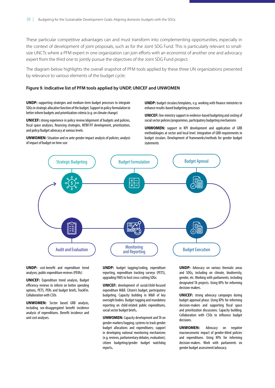<span id="page-43-0"></span>These particular competitive advantages can and must transform into complementing opportunities, especially in the context of development of joint proposals, such as for the Joint SDG Fund. This is particularly relevant to smallsize UNCTs where a PFM expert in one organization can join efforts with an economist of another one and advocacy expert from the third one to jointly pursue the objectives of the Joint SDG Fund project.

The diagram below highlights the overall snapshot of PFM tools applied by these three UN organizations presented by relevance to various elements of the budget cycle:

#### **Figure 9. Indicative list of PFM tools applied by UNDP, UNICEF and UNWOMEN**

**UNDP:** supporting strategies and medium-term budget processes to integrate SDGs in strategic allocative function of the budget. Support in policy formulation to better inform budgets and prioritization criteria (e.g. on climate change)

**UNICEF:** strong experience in policy review/alignment of budgets and policies, fscal space analyses, fnancing strategies, MTBF/FF development, prioritization, and policy/budget advocacy at various levels.

**UNWOMEN:** Situation and ex ante gender impact analysis of policies; analysis of impact of budget on time-use

**UNDP:** budget circulars/templates, e.g. working with finance ministries to enhance results-based budgeting processes

**UNICEF:** line ministry support in evidence-based budgeting and costing of social sector policies/programmes, participatory budgeting mechanisms

**UNWOMEN:** support in KPI development and application of GRB methodologies at sector and local level. Integration of GRB requirements in budget circulars. Development of frameworks/methods for gender budget statements



**UNDP:** cost-beneft and expenditure trend analyses, public expenditure reviews (PEIRs)

**UNICEF:** Expenditure trend analysis, Budget efficiency reviews to inform on better spending options, PETS, PERs and budget briefs, TrackFin. Collaboration with CSOs

**UNWOMEN:** Sector based GRB analysis, including sex-disaggregated beneft incidence analysis of expenditures. Beneft incidence and unit cost analyses.

**UNDP:** budget tagging/coding, expenditure reporting, expenditure tracking surveys (PETS), upgrading FMIS to host cross-cutting SDGs

**UNICEF:** development of social/child-focused expenditure M&R. Citizen's budget, participatory budgeting. Capacity building in M&R of key oversight bodies. Budget tagging and mandatory reporting on child-related public expenditures, social sector budget briefs**.** 

**UNWOMEN:** Capacity development and TA on gender markers/tagging; systems to track gender budget allocations and expenditures; support in developing national monitoring mechanisms (e.g. reviews, parliamentary debates, evaluation); citizen budgeting/gender budget watchdog reports**.**

**UNDP:** Advocacy on various thematic areas and SDGs, including on climate, biodiversity, gender, etc. Working with parliaments, including designated TA projects. Using KPIs for informing decision-makers.

**UNICEF:** strong advocacy campaigns during budget approval phase. Using KPIs for informing decision-makers and supporting fscal space and prioritization discussions. Capacity building. Collaboration with CSOs to infuence budget decisions.

**UNWOMEN:** Advocacy on negative macroeconomic impact of gender-blind policies and expenditures. Using KPIs for informing decision-makers. Work with parliaments on gender budget assessment/advocacy.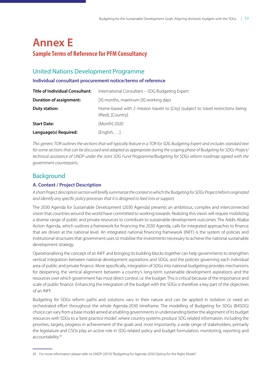# <span id="page-44-0"></span>**Annex E Sample Terms of Reference for PFM Consultancy**

# United Nations Development Programme

### **Individual consultant procurement notice/terms of reference**

| <b>Title of Individual Consultant:</b> | International Consultant - SDG Budgeting Expert                                                         |  |
|----------------------------------------|---------------------------------------------------------------------------------------------------------|--|
| <b>Duration of assignment:</b>         | [X] months, maximum [X] working days                                                                    |  |
| Duty station:                          | Home-based with 2 mission travels to [City] (subject to travel restrictions being<br>lifted), [Country] |  |
| <b>Start Date:</b>                     | [Month] 2020                                                                                            |  |
| Language(s) Required:                  | $[English, \ldots]$                                                                                     |  |

*This generic TOR outlines the sections that will typically feature in a TOR for SDG Budgeting Expert and includes standard text for some sections that can be discussed and adapted as appropriate during the scoping phase of Budgeting for SDGs Project/ technical assistance of UNDP under the Joint SDG Fund Programme/Budgeting for SDGs reform roadmap agreed with the government counterparts.* 

# Background

### **A. Context / Project Description**

*A short Project description section will brie*f*y summarize the context in which the Budgeting for SDGs Project/reform originated and identify any speci*f*c policy processes that it is designed to feed into or support.* 

The 2030 Agenda for Sustainable Development (2030 Agenda) presents an ambitious, complex and interconnected vision that countries around the world have committed to working towards. Realizing this vision will require mobilizing a diverse range of public and private resources to contribute to sustainable development outcomes. The Addis Ababa Action Agenda, which outlines a framework for financing the 2030 Agenda, calls for integrated approaches to finance that are driven at the national level. An integrated national financing framework (INFF) is the system of policies and institutional structures that government uses to mobilise the investments necessary to achieve the national sustainable development strategy.

Operationalising the concept of an INFF and bringing its building blocks together can help governments to strengthen vertical integration between national development aspirations and SDGs, and the policies governing each individual area of public and private finance. More specifically, integration of SDGs into national budgeting provides mechanisms for deepening the vertical alignment between a country's long-term sustainable development aspirations and the resources over which government has most direct control, i.e. the budget. This is critical because of the importance and scale of public finance. Enhancing the integration of the budget with the SDGs is therefore a key part of the objectives of an INFF.

Budgeting for SDGs reform paths and solutions vary in their nature and can be applied in isolation or need an orchestrated effort throughout the whole Agenda-2030 timeframe. The modelling of Budgeting for SDGs (B4SDG) choice can vary from a base model aimed at enabling governments in understanding better the alignment of its budget resources with SDGs to a 'best practice model', where country systems produce SDG related information, including the priorities, targets, progress in achievement of the goals and, most importantly, a wide range of stakeholders, primarily the legislature and CSOs play an active role in SDG-related policy and budget formulation, monitoring, reporting and accountability.45

<sup>45</sup> For more information please refer to UNDP (2019) "Budgeting for Agenda-2030 Opting for the Right Model".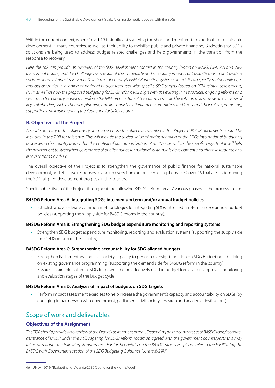Within the current context, where Covid-19 is significantly altering the short- and medium-term outlook for sustainable development in many countries, as well as their ability to mobilise public and private financing, Budgeting for SDGs solutions are being used to address budget related challenges and help governments in the transition from the response to recovery.

*Here the ToR can provide an overview of the SDG development context in the country (based on MAPS, DFA, RIA and INFF assessment results) and the challenges as a result of the immediate and secondary impacts of Covid-19 (based on Covid-19 socio-economic impact assessment). In terms of country's PFM / Budgeting system context, it can specify major challenges and opportunities in aligning of national budget resources with speci*f*c SDG targets (based on PFM-related assessments, PEIR) as well as how the proposed Budgeting for SDGs reform will align with the existing PFM practices, ongoing reforms and systems in the country as well as reinforce the INFF architecture of the country overall. The ToR can also provide an overview of key stakeholders, such as* f*nance, planning and line ministries, Parliament committees and CSOs, and their role in promoting, supporting and implementing the Budgeting for SDGs reform.*

### **B. Objectives of the Project**

*A short summary of the objectives (summarized from the objectives detailed in the Project TOR / JP documents) should be included in the TOR for reference. This will include the added-value of mainstreaming of the SDGs into national budgeting processes in the country and within the context of operationalization of an INFF as well as the speci*f*c ways that it will help the government to strengthen governance of public* f*nance for national sustainable development and e*f*ective response and recovery from Covid-19.*

The overall objective of the Project is to strengthen the governance of public finance for national sustainable development, and effective responses to and recovery from unforeseen disruptions like Covid-19 that are undermining the SDG-aligned development progress in the country.

Specific objectives of the Project throughout the following B4SDG reform areas / various phases of the process are to:

### **B4SDG Reform Area A: Integrating SDGs into medium term and/or annual budget policies**

• Establish and accelerate common methodologies for integrating SDGs into medium-term and/or annual budget policies (supporting the supply side for B4SDG reform in the country).

### **B4SDG Reform Area B: Strengthening SDG budget expenditure monitoring and reporting systems**

• Strengthen SDG budget expenditure monitoring, reporting and evaluation systems (supporting the supply side for B4SDG reform in the country).

### **B4SDG Reform Area C: Strengthening accountability for SDG-aligned budgets**

- Strengthen Parliamentary and civil society capacity to perform oversight function on SDG Budgeting building on existing governance programming (supporting the demand side for B4SDG reform in the country).
- Ensure sustainable nature of SDG framework being effectively used in budget formulation, approval, monitoring and evaluation stages of the budget cycle.

### **B4SDG Reform Area D: Analyses of impact of budgets on SDG targets**

• Perform impact assessment exercises to help increase the government's capacity and accountability on SDGs (by engaging in partnership with government, parliament, civil society, research and academic institutions).

## Scope of work and deliverables

### **Objectives of the Assignment:**

*The TOR should provide an overview of the Expert's assignment overall. Depending on the concrete set of B4SDG tools/technical assistance of UNDP under the JP/Budgeting for SDGs reform roadmap agreed with the government counterparts this may re*f*ne and adapt the following standard text. For further details on the B4SDG processes, please refer to the Facilitating the B4SDG with Governments section of the SDG Budgeting Guidance Note (p.6-29).46*

<sup>46</sup> UNDP (2019) "Budgeting for Agenda-2030 Opting for the Right Model".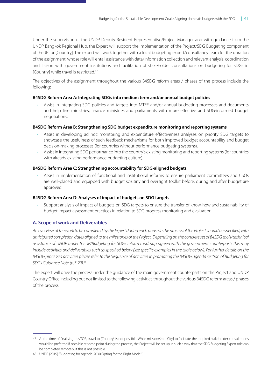Under the supervision of the UNDP Deputy Resident Representative/Project Manager and with guidance from the UNDP Bangkok Regional Hub, the Expert will support the implementation of the Project/SDG Budgeting component of the JP for [Country]. The expert will work together with a local budgeting expert/consultancy team for the duration of the assignment, whose role will entail assistance with data/information collection and relevant analysis, coordination and liaison with government institutions and facilitation of stakeholder consultations on budgeting for SDGs in [Country] while travel is restricted.47

The objectives of the assignment throughout the various B4SDG reform areas / phases of the process include the following:

### **B4SDG Reform Area A: Integrating SDGs into medium term and/or annual budget policies**

• Assist in integrating SDG policies and targets into MTEF and/or annual budgeting processes and documents and help line ministries, finance ministries and parliaments with more effective and SDG-informed budget negotiations.

### **B4SDG Reform Area B: Strengthening SDG budget expenditure monitoring and reporting systems**

- Assist in developing ad hoc monitoring and expenditure effectiveness analyses on priority SDG targets to showcase the usefulness of such feedback mechanisms for both improved budget accountability and budget decision-making processes (for countries without performance budgeting systems).
- Assist in integrating SDG performance into the country's existing monitoring and reporting systems (for countries with already existing performance budgeting culture).

### **B4SDG Reform Area C: Strengthening accountability for SDG-aligned budgets**

• Assist in implementation of functional and institutional reforms to ensure parliament committees and CSOs are well-placed and equipped with budget scrutiny and oversight toolkit before, during and after budget are approved.

### **B4SDG Reform Area D: Analyses of impact of budgets on SDG targets**

• Support analysis of impact of budgets on SDG targets to ensure the transfer of know-how and sustainability of budget impact assessment practices in relation to SDG progress monitoring and evaluation.

### **A. Scope of work and Deliverables**

*An overview of the work to be completed by the Expert during each phase in the process of the Project should be speci*f*ed, with anticipated completion dates aligned to the milestones of the Project. Depending on the concrete set of B4SDG tools/technical assistance of UNDP under the JP/Budgeting for SDGs reform roadmap agreed with the government counterparts this may include activities and deliverables such as speci*f*ed below (see speci*f*c examples in the table below). For further details on the B4SDG processes activities please refer to the Sequence of activities in promoting the B4SDG agenda section of Budgeting for SDGs Guidance Note (p.7-29).48*

The expert will drive the process under the guidance of the main government counterparts on the Project and UNDP Country Office including but not limited to the following activities throughout the various B4SDG reform areas / phases of the process:

<sup>47</sup> At the time of finalising this TOR, travel to [Country] is not possible. While mission(s) to [City] to facilitate the required stakeholder consultations would be preferred if possible at some point during the process, the Project will be set up in such a way that the SDG Budgeting Expert role can be completed remotely, if this is not possible.

<sup>48</sup> UNDP (2019) "Budgeting for Agenda-2030 Opting for the Right Model".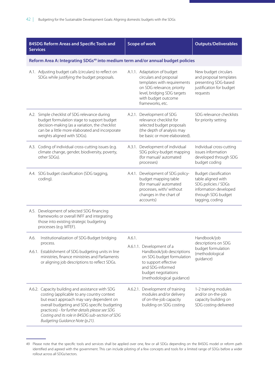| <b>B4SDG Reform Areas and Specific Tools and</b><br><b>Services</b>                                                                                                                                                                                                                                                                  | <b>Scope of work</b>                                                                                                                                                                          | <b>Outputs/Deliverables</b>                                                                                                          |
|--------------------------------------------------------------------------------------------------------------------------------------------------------------------------------------------------------------------------------------------------------------------------------------------------------------------------------------|-----------------------------------------------------------------------------------------------------------------------------------------------------------------------------------------------|--------------------------------------------------------------------------------------------------------------------------------------|
| Reform Area A: Integrating SDGs <sup>49</sup> into medium term and/or annual budget policies                                                                                                                                                                                                                                         |                                                                                                                                                                                               |                                                                                                                                      |
| A.1. Adjusting budget calls (circulars) to reflect on<br>SDGs while justifying the budget proposals.                                                                                                                                                                                                                                 | A.1.1. Adaptation of budget<br>circulars and proposal<br>templates with requirements<br>on SDG relevance, priority<br>level, bridging SDG targets<br>with budget outcome<br>frameworks, etc.  | New budget circulars<br>and proposal templates<br>presenting SDG-based<br>justification for budget<br>requests                       |
| A.2. Simple checklist of SDG relevance during<br>budget formulation stage to support budget<br>decision-making (as a variation, the checklist<br>can be a little more elaborated and incorporate<br>weights aligned with SDGs).                                                                                                      | A.2.1. Development of SDG<br>relevance checklist for<br>selected budget proposals<br>(the depth of analysis may<br>be basic or more elaborated).                                              | SDG relevance checklists<br>for priority setting                                                                                     |
| A.3. Coding of individual cross-cutting issues (e.g.<br>climate change, gender, biodiversity, poverty,<br>other SDGs).                                                                                                                                                                                                               | A.3.1. Development of individual<br>SDG policy-budget mapping<br>(for manual/automated<br>processes)                                                                                          | Individual cross-cutting<br>issues information<br>developed through SDG<br>budget coding                                             |
| A.4. SDG budget classification (SDG tagging,<br>coding).                                                                                                                                                                                                                                                                             | A.4.1. Development of SDG policy-<br>budget mapping table<br>(for manual/automated<br>processes, with/ without<br>changes in the chart of<br>accounts)                                        | Budget classification<br>table aligned with<br>SDG policies / SDGs<br>information developed<br>through SDG budget<br>tagging, coding |
| A.5. Development of selected SDG financing<br>frameworks or overall INFF and integrating<br>those into existing strategic budgeting<br>processes (e.g. MTEF).                                                                                                                                                                        |                                                                                                                                                                                               |                                                                                                                                      |
| Institutionalization of SDG-Budget bridging<br>A.6.<br>process.<br>A.6.1. Establishment of SDG budgeting units in line<br>ministries, finance ministries and Parliaments<br>or aligning job descriptions to reflect SDGs.                                                                                                            | A.6.1.<br>A.6.1.1. Development of a<br>Handbook/job descriptions<br>on SDG budget formulation<br>to support effective<br>and SDG-informed<br>budget negotiations<br>(methodological guidance) | Handbook/job<br>descriptions on SDG<br>budget formulation<br>(methodological<br>quidance)                                            |
| A.6.2. Capacity building and assistance with SDG<br>costing (applicable to any country context<br>but exact approach may vary dependent on<br>overall budgeting and SDG specific budgeting<br>practices) - for further details please see SDG<br>Costing and its role in B4SDG sub-section of SDG<br>Budgeting Guidance Note (p.21). | A.6.2.1. Development of training<br>modules and/or delivery<br>of on-the-job capacity<br>building on SDG costing                                                                              | 1-2 training modules<br>and/or on-the-job<br>capacity building on<br>SDG costing delivered                                           |

<sup>49</sup> Please note that the specific tools and services shall be applied over one, few or all SDGs depending on the B4SDG model or reform path identified and agreed with the government. This can include piloting of a few concepts and tools for a limited range of SDGs before a wider rollout across all SDGs/sectors.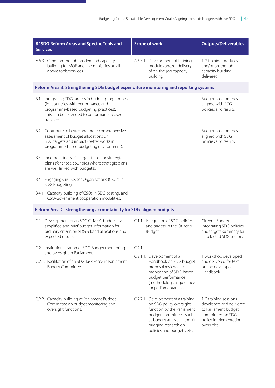| <b>B4SDG Reform Areas and Specific Tools and</b><br><b>Services</b>                                                                                                                          | <b>Scope of work</b>                                                                                                                                                                                          | <b>Outputs/Deliverables</b>                                                                                                         |
|----------------------------------------------------------------------------------------------------------------------------------------------------------------------------------------------|---------------------------------------------------------------------------------------------------------------------------------------------------------------------------------------------------------------|-------------------------------------------------------------------------------------------------------------------------------------|
| A.6.3. Other on-the-job on-demand capacity<br>building for MOF and line ministries on all<br>above tools/services                                                                            | A.6.3.1. Development of training<br>modules and/or delivery<br>of on-the-job capacity<br>building                                                                                                             | 1-2 training modules<br>and/or on-the-job<br>capacity building<br>delivered                                                         |
| Reform Area B: Strengthening SDG budget expenditure monitoring and reporting systems                                                                                                         |                                                                                                                                                                                                               |                                                                                                                                     |
| B.1. Integrating SDG targets in budget programmes<br>(for countries with performance and<br>programme-based budgeting practices).<br>This can be extended to performance-based<br>transfers. |                                                                                                                                                                                                               | Budget programmes<br>aligned with SDG<br>policies and results                                                                       |
| B.2. Contribute to better and more comprehensive<br>assessment of budget allocations on<br>SDG targets and impact (better works in<br>programme-based budgeting environment).                |                                                                                                                                                                                                               | Budget programmes<br>aligned with SDG<br>policies and results                                                                       |
| B.3. Incorporating SDG targets in sector strategic<br>plans (for those countries where strategic plans<br>are well linked with budgets).                                                     |                                                                                                                                                                                                               |                                                                                                                                     |
| B.4. Engaging Civil Sector Organizations (CSOs) in<br>SDG Budgeting.                                                                                                                         |                                                                                                                                                                                                               |                                                                                                                                     |
| B.4.1. Capacity building of CSOs in SDG costing, and<br>CSO-Government cooperation modalities.                                                                                               |                                                                                                                                                                                                               |                                                                                                                                     |
| Reform Area C: Strengthening accountability for SDG-aligned budgets                                                                                                                          |                                                                                                                                                                                                               |                                                                                                                                     |
| C.1. Development of an SDG Citizen's budget - a<br>simplified and brief budget information for<br>ordinary citizen on SDG related allocations and<br>expected results.                       | C.1.1. Integration of SDG policies<br>and targets in the Citizen's<br>Budget                                                                                                                                  | Citizen's Budget<br>integrating SDG policies<br>and targets summary for<br>all selected SDG sectors                                 |
| C.2. Institutionalization of SDG-Budget monitoring<br>and oversight in Parliament.                                                                                                           | C.2.1.                                                                                                                                                                                                        |                                                                                                                                     |
| C.2.1. Facilitation of an SDG Task Force in Parliament<br>Budget Committee.                                                                                                                  | C.2.1.1.<br>Development of a<br>Handbook on SDG budget<br>proposal review and<br>monitoring of SDG-based<br>budget performance<br>(methodological guidance<br>for parliamentarians)                           | 1 workshop developed<br>and delivered for MPs<br>on the developed<br>Handbook                                                       |
| C.2.2. Capacity building of Parliament Budget<br>Committee on budget monitoring and<br>oversight functions.                                                                                  | C.2.2.1. Development of a training<br>on SDG policy oversight<br>function by the Parliament<br>budget committees, such<br>as budget analytical toolkit,<br>bridging research on<br>policies and budgets, etc. | 1-2 training sessions<br>developed and delivered<br>to Parliament budget<br>committees on SDG<br>policy implementation<br>oversight |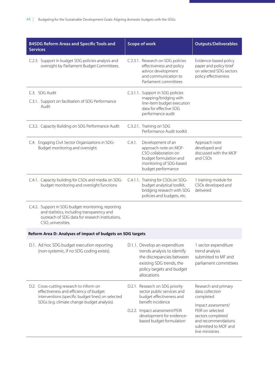| <b>B4SDG Reform Areas and Specific Tools and</b><br><b>Services</b>                                                                                                       | <b>Scope of work</b>                                                                                                                                              | <b>Outputs/Deliverables</b>                                                                                                   |
|---------------------------------------------------------------------------------------------------------------------------------------------------------------------------|-------------------------------------------------------------------------------------------------------------------------------------------------------------------|-------------------------------------------------------------------------------------------------------------------------------|
| C.2.3. Support in budget SDG policies analysis and<br>oversight by Parliament Budget Committees.                                                                          | C.2.3.1. Research on SDG policies<br>effectiveness and policy<br>advice development<br>and communication to<br>Parliament committees                              | Evidence-based policy<br>paper and policy brief<br>on selected SDG sectors<br>policy effectiveness                            |
| C.3. SDG Audit<br>C.3.1. Support on facilitation of SDG Performance<br>Audit                                                                                              | C.3.1.1. Support in SDG policies<br>mapping/bridging with<br>line-item budget execution<br>data for effective SDG                                                 |                                                                                                                               |
|                                                                                                                                                                           | performance audit                                                                                                                                                 |                                                                                                                               |
| C.3.2. Capacity Building on SDG Performance Audit                                                                                                                         | C.3.2.1. Training on SDG<br>Performance Audit toolkit                                                                                                             |                                                                                                                               |
| C.4. Engaging Civil Sector Organizations in SDG-<br>Budget monitoring and oversight.                                                                                      | $C.4.1$ .<br>Development of an<br>approach note on MOF-<br>CSO collaboration on<br>budget formulation and<br>monitoring of SDG-based<br>budget performance        | Approach note<br>developed and<br>discussed with the MOF<br>and CSOs                                                          |
| C.4.1. Capacity building for CSOs and media on SDG-<br>budget monitoring and oversight functions                                                                          | C.4.1.1. Training for CSOs on SDG-<br>budget analytical toolkit,<br>bridging research with SDG<br>policies and budgets, etc.                                      | 1 training module for<br>CSOs developed and<br>delivered                                                                      |
| C.4.2. Support in SDG budget monitoring, reporting<br>and statistics, including transparency and<br>outreach of SDG data for research institutions,<br>CSO, universities. |                                                                                                                                                                   |                                                                                                                               |
| Reform Area D: Analyses of impact of budgets on SDG targets                                                                                                               |                                                                                                                                                                   |                                                                                                                               |
| D.1. Ad hoc SDG budget execution reporting<br>(non-systemic, if no SDG coding exists).                                                                                    | D.1.1. Develop an expenditure<br>trends analysis to identify<br>the discrepancies between<br>existing SDG trends, the<br>policy targets and budget<br>allocations | 1 sector expenditure<br>trend analysis<br>submitted to MF and<br>parliament committees                                        |
| D.2. Cross-cutting research to inform on<br>effectiveness and efficiency of budget<br>interventions (specific budget lines) on selected                                   | D.2.1. Research on SDG priority<br>sector public services and<br>budget effectiveness and                                                                         | Research and primary<br>data collection<br>completed                                                                          |
| SDGs (e.g. climate change budget analysis).                                                                                                                               | benefit incidence<br>D.2.2. Impact assessment/PEIR<br>development for evidence-<br>based budget formulation                                                       | Impact assessment/<br>PEIR on selected<br>sectors completed<br>and recommendations<br>submitted to MOF and<br>line ministries |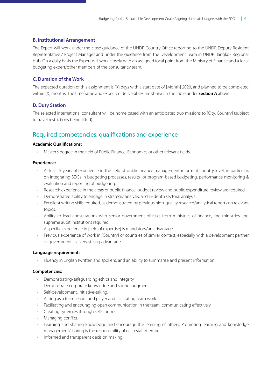### **B. Institutional Arrangement**

The Expert will work under the close guidance of the UNDP Country Office reporting to the UNDP Deputy Resident Representative / Project Manager and under the guidance from the Development Team in UNDP Bangkok Regional Hub. On a daily basis the Expert will work closely with an assigned focal point from the Ministry of Finance and a local budgeting expert/other members of the consultancy team.

### **C. Duration of the Work**

The expected duration of this assignment is [X] days with a start date of [Month] 2020, and planned to be completed within [X] months. The timeframe and expected deliverables are shown in the table under **section A** above.

### **D. Duty Station**

The selected international consultant will be home based with an anticipated two missions to [City, Country] (subject to travel restrictions being lifted).

## Required competencies, qualifcations and experience

### **Academic Qualifcations:**

• Master's degree in the field of Public Finance, Economics or other relevant fields.

### **Experience:**

- At least 5 years of experience in the field of public finance management reform at country level, in particular, on integrating SDGs in budgeting processes, results- or program-based budgeting, performance monitoring & evaluation and reporting of budgeting.
- Research experience in the areas of public finance, budget review and public expenditure review are required.
- Demonstrated ability to engage in strategic analysis, and in-depth sectoral analysis.
- Excellent writing skills required, as demonstrated by previous high-quality research/analytical reports on relevant topics.
- Ability to lead consultations with senior government officials from ministries of finance, line ministries and supreme audit institutions required.
- A specific experience in [field of expertise] is mandatory/an advantage.
- Previous experience of work in [Country] or countries of similar context, especially with a development partner or government is a very strong advantage.

### **Language requirement:**

• Fluency in English (written and spoken), and an ability to summarise and present information.

### **Competencies:**

- Demonstrating/safeguarding ethics and integrity.
- Demonstrate corporate knowledge and sound judgment.
- Self-development, initiative-taking.
- Acting as a team leader and player and facilitating team work.
- Facilitating and encouraging open communication in the team, communicating effectively
- Creating synergies through self-control.
- Managing conflict.
- Learning and sharing knowledge and encourage the learning of others. Promoting learning and knowledge management/sharing is the responsibility of each staff member.
- Informed and transparent decision making.